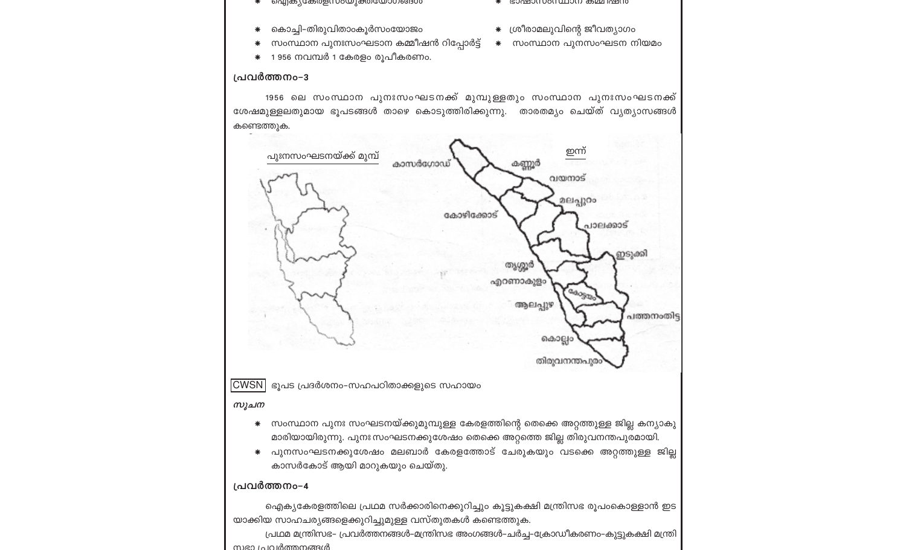- വെന്നും സാധിക്കുന്നത് പ്രതിഷ്ഠിക്കുന്നത
- കൊച്ചി-തിരുവിതാംകൂർസംയോജം
- സംസ്ഥാന പുനഃസംഘടാന കമ്മീഷൻ റിപ്പോർട്ട് <del>\*</del> സംസ്ഥാന പുനസംഘടന നിയമം
- \* 1956 നവമ്പർ 1 കേരളം രൂപീകരണം.

#### പ്രവർത്തനം-3

mien La In Inmonesia

- \* GOURDOU DOUT TO THE RAID OF THE RESERVED TO THE RESERVED TO THE RESERVED TO THE RESERVED TO THE RESERVED TO THE RESERVED TO THE RESERVED TO THE RESERVED TO THE RESERVED TO THE RESERVED TO THE RESERVED TO THE RESERVED TO
- \* ശ്രീരാമലുവിന്റെ ജീവത്യാഗം
- 

### 1956 ലെ സംസ്ഥാന പുനഃസംഘടനക്ക് മുമ്പുള്ളതും സംസ്ഥാന പുനഃസംഘടനക്ക് ശേഷമുള്ളലതുമായ ഭൂപടങ്ങൾ താഴെ കൊടുത്തിരിക്കുന്നു. താരതമ്യം ചെയ്ത് വ്യത്യാസങ്ങൾ കണ്ടെത്തുക.

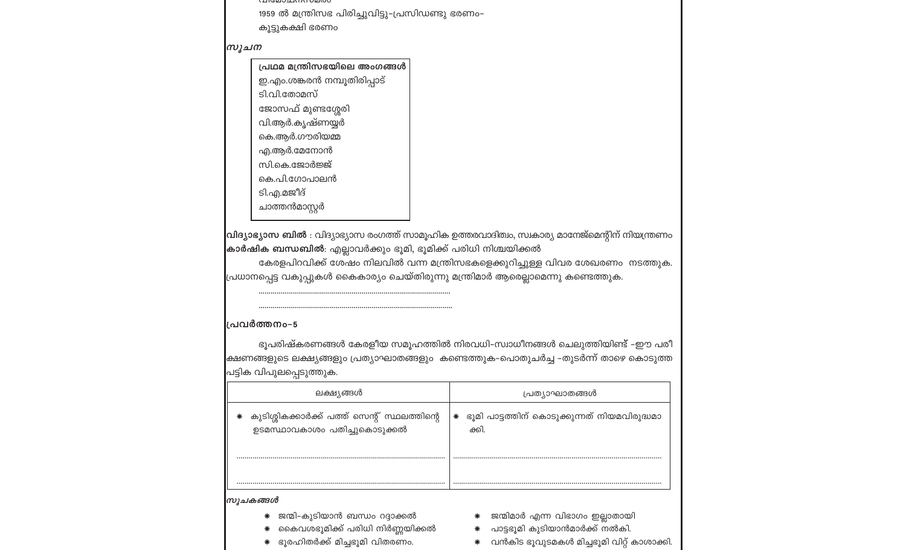**UNIVERSITY INTO A TELESCOPE** 1959 ൽ മന്ത്രിസഭ പിരിച്ചുവിട്ടു–പ്രസിഡണ്ടു ഭരണം–

കൂട്ടുകക്ഷി ഭരണം

സൂചന

പ്രഥമ മന്ത്രിസഭയിലെ അംഗങ്ങൾ ഇ.എം.ശങ്കരൻ നമ്പൂതിരിപ്പാട്

ടി.വി.തോമസ്

ജോസഫ് മുണ്ടശ്ശേരി വി.ആർ.കൃഷ്ണയ്യർ

കെ.ആർ.ഗൗരിയമ്മ

എ.ആർ.മേനോൻ

സി.കെ.ജോർജ്ജ്

കെ.പി.ഗോപാലൻ

ടി.എ.മജീദ്

ചാത്തൻമാസ്റ്റർ

വിദ്യാഭ്യാസ ബിൽ : വിദ്യാഭ്യാസ രംഗത്ത് സാമൂഹിക ഉത്തരവാദിത്വം, സ്വകാര്യ മാനേജ്മെന്റിന് നിയന്ത്രണം കാർഷിക ബന്ധബിൽ: എല്ലാവർക്കും ഭൂമി, ഭൂമിക്ക് പരിധി നിശ്ചയിക്കൽ

കേരളപിറവിക്ക് ശേഷം നിലവിൽ വന്ന മന്ത്രിസഭകളെക്കുറിച്ചുള്ള വിവര ശേഖരണം നടത്തുക. .<br>പ്രധാനപ്പെട്ട വകുപ്പുകൾ കൈകാര്യം ചെയ്തിരുന്നു മന്ത്രിമാർ ആരെല്ലാമെന്നു കണ്ടെത്തുക.

#### പ്രവർത്തനം-5

ഭൂപരിഷ്കരണങ്ങൾ കേരളീയ സമൂഹത്തിൽ നിരവധി–സ്വാധീനങ്ങൾ ചെലുത്തിയിണ്ട് –ഈ പരീ |ക്ഷണങ്ങളുടെ ലക്ഷ്യങ്ങളും പ്രത്യാഘാതങ്ങളും കണ്ടെത്തുക–പൊതുചർച്ച –തുടർന്ന് താഴെ കൊടുത്ത പട്ടിക വിപുലപ്പെടുത്തുക.

| ലക്ഷ്യങ്ങൾ                                                                                               | പ്രത്യാഘാതങ്ങൾ                                                                                                         |
|----------------------------------------------------------------------------------------------------------|------------------------------------------------------------------------------------------------------------------------|
| കുടിശ്ശികക്കാർക്ക് പത്ത് സെന്റ് സ്ഥലത്തിന്റെ<br>ഉടമസ്ഥാവകാശം പതിച്ചുകൊടുക്കൽ                             | ഭൂമി പാട്ടത്തിന് കൊടുക്കുന്നത് നിയമവിരുദ്ധമാ<br>∗<br>ക്കി.                                                             |
|                                                                                                          |                                                                                                                        |
| സുചകങ്ങൾ                                                                                                 |                                                                                                                        |
| * ജന്മി-കുടിയാൻ ബന്ധം റദ്ദാക്കൽ<br>കൈവശഭൂമിക്ക് പരിധി നിർണ്ണയിക്കൽ<br>∗<br>ഭുരഹിതർക്ക് മിച്ചഭുമി വിതരണം. | ജന്മിമാർ എന്ന വിഭാഗം ഇല്ലാതായി<br>പാട്ടഭൂമി കുടിയാൻമാർക്ക് നൽകി.<br>∗<br>വൻകിട ഭൂവുടമകൾ മിച്ചഭൂമി വിറ്റ് കാശാക്ക്<br>∗ |

\* വൻകിട ഭൂവുടമകൾ മിച്ചഭൂമി വിറ്റ് കാശാക്കി.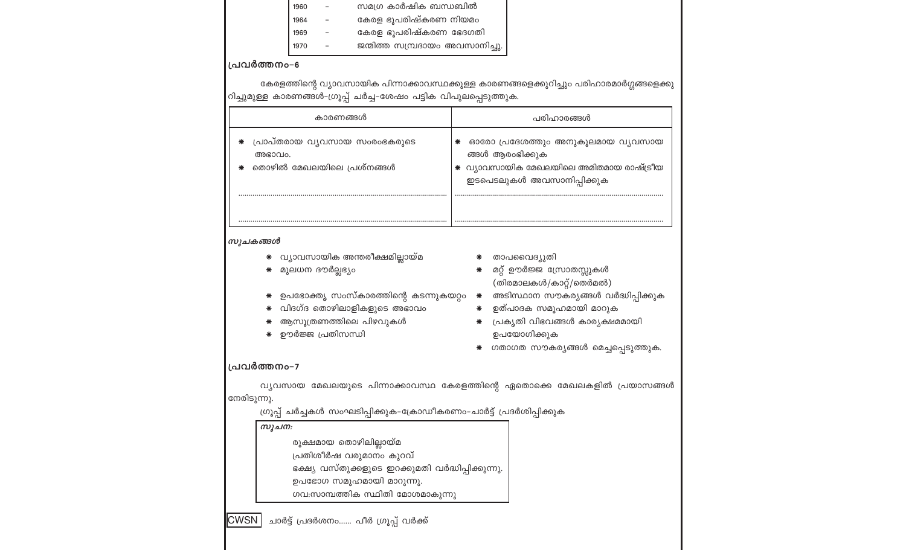| സമഗ്ര കാർഷിക ബന്ധബിൽ<br>1960                                                                                                                                                                     |                                                                                                                                                                                                                                               |  |  |  |
|--------------------------------------------------------------------------------------------------------------------------------------------------------------------------------------------------|-----------------------------------------------------------------------------------------------------------------------------------------------------------------------------------------------------------------------------------------------|--|--|--|
| കേരള ഭൂപരിഷ്കരണ നിയമം<br>1964                                                                                                                                                                    |                                                                                                                                                                                                                                               |  |  |  |
| കേരള ഭൂപരിഷ്കരണ ഭേദഗതി<br>1969                                                                                                                                                                   |                                                                                                                                                                                                                                               |  |  |  |
| ജന്മിത്ത സമ്പ്രദായം അവസാനിച്ചു.<br>1970                                                                                                                                                          |                                                                                                                                                                                                                                               |  |  |  |
| പ്രവർത്തനം-6                                                                                                                                                                                     |                                                                                                                                                                                                                                               |  |  |  |
|                                                                                                                                                                                                  | കേരളത്തിന്റെ വ്യാവസായിക പിന്നാക്കാവസ്ഥക്കുള്ള കാരണങ്ങളെക്കുറിച്ചും പരിഹാരമാർഗ്ഗങ്ങളെക്കു                                                                                                                                                      |  |  |  |
| റിച്ചുമുള്ള കാരണങ്ങൾ-ഗ്രൂപ്പ് ചർച്ച-ശേഷം പട്ടിക വിപുലപ്പെടുത്തുക.                                                                                                                                |                                                                                                                                                                                                                                               |  |  |  |
| കാരണങ്ങൾ                                                                                                                                                                                         | പരിഹാരങ്ങൾ                                                                                                                                                                                                                                    |  |  |  |
| പ്രാപ്തരായ വൃവസായ സംരംഭകരുടെ<br>∗<br>അഭാവം.<br>തൊഴിൽ മേഖലയിലെ പ്രശ്നങ്ങൾ                                                                                                                         | ഓരോ പ്രദേശത്തും അനുകൂലമായ വ്യവസായ<br>₩<br>ങ്ങൾ ആരംഭിക്കുക<br>* വ്യാവസായിക മേഖലയിലെ അമിതമായ രാഷ്ട്രീയ<br>ഇടപെടലുകൾ അവസാനിപ്പിക്കുക                                                                                                             |  |  |  |
| സൂചകങ്ങൾ<br>വ്യാവസായിക അന്തരീക്ഷമില്ലായ്മ<br>∗<br>മുലധന ദൗർല്ലഭ്യം<br>ഉപഭോക്തൃ സംസ്കാരത്തിന്റെ കടന്നുകയറ്റം<br>∗<br>വിദഗ്ദ തൊഴിലാളികളുടെ അഭാവം<br>∗<br>ആസൂത്രണത്തിലെ പിഴവുകൾ<br>ഊർജ്ജ പ്രതിസന്ധി | താപവൈദ്യുതി<br>മറ്റ് ഊർജ്ജ സ്രോതസ്സുകൾ<br>∗<br>(തിരമാലകൾ/കാറ്റ്/തെർമൽ)<br>അടിസ്ഥാന സൗകര്യങ്ങൾ വർദ്ധിപ്പിക്കുക<br>₩<br>ഉത്പാദക സമൂഹമായി മാറുക<br>∗<br>പ്രകൃതി വിഭവങ്ങൾ കാര്യക്ഷമമായി<br>∗<br>ഉപയോഗിക്കുക<br>ഗതാഗത സൗകര്യങ്ങൾ മെച്ചപ്പെടുത്തുക. |  |  |  |
| പ്രവർത്തനം-7                                                                                                                                                                                     |                                                                                                                                                                                                                                               |  |  |  |
| നേരിടുന്നു.<br>ഗ്രൂപ്പ് ചർച്ചകൾ സംഘടിപ്പിക്കുക–ക്രോഡീകരണം–ചാർട്ട് പ്രദർശിപ്പിക്കുക                                                                                                               | വ്യവസായ മേഖലയുടെ പിന്നാക്കാവസ്ഥ കേരളത്തിന്റെ ഏതൊക്കെ മേഖലകളിൽ പ്രയാസങ്ങൾ                                                                                                                                                                      |  |  |  |
| സൂചന:                                                                                                                                                                                            |                                                                                                                                                                                                                                               |  |  |  |
| രൂക്ഷമായ തൊഴിലില്ലായ്മ                                                                                                                                                                           |                                                                                                                                                                                                                                               |  |  |  |
| പ്രതിശീർഷ വരുമാനം കുറവ്                                                                                                                                                                          |                                                                                                                                                                                                                                               |  |  |  |
| ഭക്ഷ്യ വസ്തുക്കളുടെ ഇറക്കുമതി വർദ്ധിപ്പിക്കുന്നു.                                                                                                                                                |                                                                                                                                                                                                                                               |  |  |  |
|                                                                                                                                                                                                  | ഉപഭോഗ സമൂഹമായി മാറുന്നു.                                                                                                                                                                                                                      |  |  |  |
|                                                                                                                                                                                                  | ഗവ:സാമ്പത്തിക സ്ഥിതി മോശമാകുന്നു                                                                                                                                                                                                              |  |  |  |
| CWSN<br>ചാർട്ട് പ്രദർശനം പീർ ഗ്രൂപ്പ് വർക്ക്                                                                                                                                                     |                                                                                                                                                                                                                                               |  |  |  |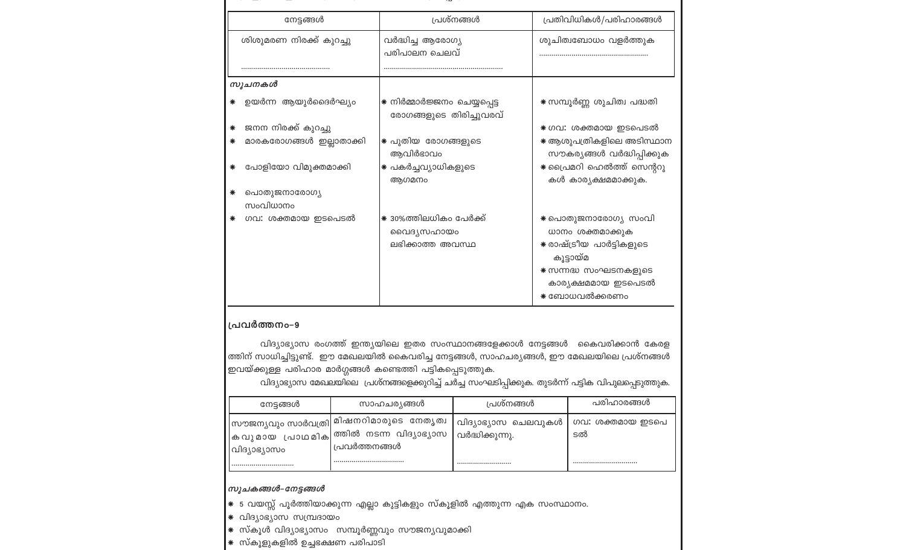| പ്രശ്നങ്ങൾ                                              | പ്രതിവിധികൾ/പരിഹാരങ്ങൾ                                                                                                                           |
|---------------------------------------------------------|--------------------------------------------------------------------------------------------------------------------------------------------------|
| വർദ്ധിച്ച ആരോഗ്യ<br>പരിപാലന ചെലവ്                       | ശുചിത്വബോധം വളർത്തുക                                                                                                                             |
|                                                         |                                                                                                                                                  |
|                                                         |                                                                                                                                                  |
| * നിർമ്മാർജ്ജനം ചെയ്യപ്പെട്ട<br>രോഗങ്ങളുടെ തിരിച്ചുവരവ് | ☀ സമ്പൂർണ്ണ ശുചിത്വ പദ്ധതി                                                                                                                       |
|                                                         | * ഗവ: ശക്തമായ ഇടപെടൽ                                                                                                                             |
| * പുതിയ രോഗങ്ങളുടെ<br>ആവിർഭാവം                          | * ആശുപത്രികളിലെ അടിസ്ഥാന<br>സൗകര്യങ്ങൾ വർദ്ധിപ്പിക്കുക                                                                                           |
| * പകർച്ചവ്യാധികളുടെ<br>ആഗമനം                            | * പ്രൈമറി ഹെൽത്ത് സെന്ററു<br>കൾ കാര്യക്ഷമമാക്കുക.                                                                                                |
|                                                         |                                                                                                                                                  |
|                                                         |                                                                                                                                                  |
| * 30%ത്തിലധികം പേർക്ക്<br>വൈദൃസഹായം<br>ലഭിക്കാത്ത അവസ്ഥ | ∗ പൊതുജനാരോഗ്യ സംവി<br>ധാനം ശക്തമാക്കുക<br>☀ രാഷ്ട്രീയ പാർട്ടികളുടെ<br>കൂട്ടായ്മ<br>* സന്നദ്ധ സംഘടനകളുടെ<br>കാര്യക്ഷമമായ ഇടപെടൽ<br>* ബോധവൽക്കരണം |
|                                                         |                                                                                                                                                  |

#### പ്രവർത്തനം-9

വിദ്യാഭ്യാസ രംഗത്ത് ഇന്ത്യയിലെ ഇതര സംസ്ഥാനങ്ങളേക്കാൾ നേട്ടങ്ങൾ കൈവരിക്കാൻ കേരള  $\vert$ ത്തിന് സാധിച്ചിട്ടുണ്ട്. ഈ മേഖലയിൽ കൈവരിച്ച നേട്ടങ്ങൾ, സാഹചര്യങ്ങൾ, ഈ മേഖലയിലെ പ്രശ്നങ്ങൾ ഇവയ്ക്കുള്ള പരിഹാര മാർഗ്ഗങ്ങൾ കണ്ടെത്തി പട്ടികപ്പെടുത്തുക.

വിദ്യാഭ്യാസ മേഖലയിലെ പ്രശ്നങ്ങളെക്കുറിച്ച് ചർച്ച സംഘടിപ്പിക്കുക. തുടർന്ന് പട്ടിക വിപുലപ്പെടുത്തുക.

| നേട്ടങ്ങൾ    | സാഹചര്യങ്ങൾ                                                                                            | പ്രശ്നങ്ങൾ                               | പരിഹാരങ്ങൾ             |
|--------------|--------------------------------------------------------------------------------------------------------|------------------------------------------|------------------------|
| വിദ്യാഭ്യാസം | സൗജന്യവും സാർവത്രി  മിഷനറിമാരുടെ  നേതൃത്വ<br> കവുമായ പ്രാഥമിക ത്തിൽ നടന്ന വിദ്യാഭ്യാസ<br>പ്രവർത്തനങ്ങൾ | വിദ്യാഭ്യാസ ചെലവുകൾ<br>, വർദ്ധിക്കുന്നു. | ഗവ: ശക്തമായ ഇടപെ<br>ടൽ |
|              |                                                                                                        |                                          |                        |

#### |സൂചകങ്ങൾ–നേട്ടങ്ങൾ

- $\big| \ast \,$  5 വയസ്സ് പൂർത്തിയാക്കുന്ന എല്ലാ കുട്ടികളും സ്കൂളിൽ എത്തുന്ന എക സംസ്ഥാനം.
- \* വിദ്യാഭ്യാസ സമ്പ്രദായം
- $\big| \ast \hspace{-0.2cm} \bullet$  സ്കൂൾ വിദ്യാഭ്യാസം സമ്പൂർണ്ണവും സൗജന്യവുമാക്കി
- $\big| \ast \hspace{0.1cm}$  സ്കൂളുകളിൽ ഉച്ചഭക്ഷണ പരിപാടി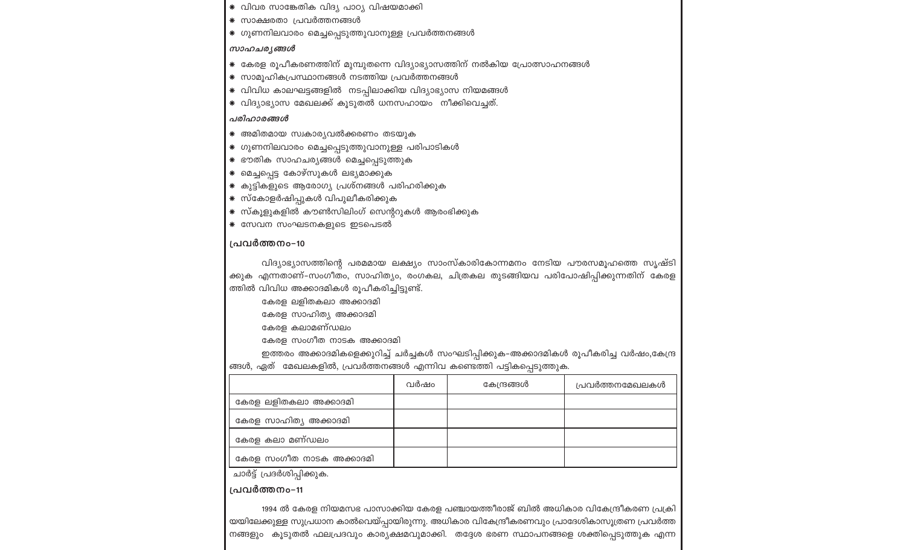- \* വിവര സാങ്കേതിക വിദ്യ പാഠ്യ വിഷയമാക്കി
- \* സാക്ഷരതാ പ്രവർത്തനങ്ങൾ
- \* ഗുണനിലവാരം മെച്ചപ്പെടുത്തുവാനുള്ള പ്രവർത്തനങ്ങൾ

#### സാഹചര്യങ്ങൾ

- \* കേരള രൂപീകരണത്തിന് മുമ്പുതന്നെ വിദ്യാഭ്യാസത്തിന് നൽകിയ പ്രോത്സാഹനങ്ങൾ
- \* സാമൂഹികപ്രസ്ഥാനങ്ങൾ നടത്തിയ പ്രവർത്തനങ്ങൾ
- \* വിവിധ കാലഘട്ടങ്ങളിൽ നടപ്പിലാക്കിയ വിദ്യാഭ്യാസ നിയമങ്ങൾ
- \* വിദ്യാഭ്യാസ മേഖലക്ക് കൂടുതൽ ധനസഹായം നീക്കിവെച്ചത്.

#### പരിഹാരങ്ങൾ

- \* അമിതമായ സ്വകാര്യവൽക്കരണം തടയുക
- \* ഗുണനിലവാരം മെച്ചപ്പെടുത്തുവാനുള്ള പരിപാടികൾ
- \* ഭൗതിക സാഹചര്യങ്ങൾ മെച്ചപ്പെടുത്തുക
- \* മെച്ചപ്പെട്ട കോഴ്സുകൾ ലഭ്യമാക്കുക
- \* കുട്ടികളുടെ ആരോഗ്യ പ്രശ്നങ്ങൾ പരിഹരിക്കുക
- \* സ്കോളർഷിപ്പുകൾ വിപുലീകരിക്കുക
- \* സ്കൂളുകളിൽ കൗൺസിലിംഗ് സെന്ററുകൾ ആരംഭിക്കുക
- \* സേവന സംഘടനകളുടെ ഇടപെടൽ

#### പ്രവർത്തനം-10

വിദ്യാഭ്യാസത്തിന്റെ പരമമായ ലക്ഷ്യം സാംസ്കാരികോന്നമനം നേടിയ പൗരസമൂഹത്തെ സൃഷ്ടി ക്കുക എന്നതാണ്–സംഗീതം, സാഹിത്യം, രംഗകല, ചിത്രകല തുടങ്ങിയവ പരിപോഷിപ്പിക്കുന്നതിന് കേരള ത്തിൽ വിവിധ അക്കാദമികൾ രൂപീകരിച്ചിട്ടുണ്ട്.

- കേരള ലളിതകലാ അക്കാദമി
- കേരള സാഹിത്യ അക്കാദമി
- കേരള കലാമണ്ഡലം
- കേരള സംഗീത നാടക അക്കാദമി

ഇത്തരം അക്കാദമികളെക്കുറിച്ച് ചർച്ചകൾ സംഘടിപ്പിക്കുക-അക്കാദമികൾ രൂപീകരിച്ച വർഷം,കേന്ദ്ര ങ്ങൾ, ഏത് മേഖലകളിൽ, പ്രവർത്തനങ്ങൾ എന്നിവ കണ്ടെത്തി പട്ടികപ്പെടുത്തുക.

|                          | വർഷം | കേന്ദ്രങ്ങൾ | പ്രവർത്തനമേഖലകൾ |
|--------------------------|------|-------------|-----------------|
| കേരള ലളിതകലാ അക്കാദമി    |      |             |                 |
| കേരള സാഹിത്യ അക്കാദമി    |      |             |                 |
| കേരള കലാ മണ്ഡലം          |      |             |                 |
| കേരള സംഗീത നാടക അക്കാദമി |      |             |                 |

ചാർട്ട് പ്രദർശിപ്പിക്കുക.

പ്രവർത്തനം-11

1994 ൽ കേരള നിയമസഭ പാസാക്കിയ കേരള പഞ്ചായത്തീരാജ് ബിൽ അധികാര വികേന്ദ്രീകരണ പ്രക്രി യയിലേക്കുള്ള സുപ്രധാന കാൽവെയ്പ്പായിരുന്നു. അധികാര വികേന്ദ്രീകരണവും പ്രാദേശികാസൂത്രണ പ്രവർത്ത നങ്ങളും കൂടുതൽ ഫലപ്രദവും കാര്യക്ഷമവുമാക്കി. തദ്ദേശ ഭരണ സ്ഥാപനങ്ങളെ ശക്തിപ്പെടുത്തുക എന്ന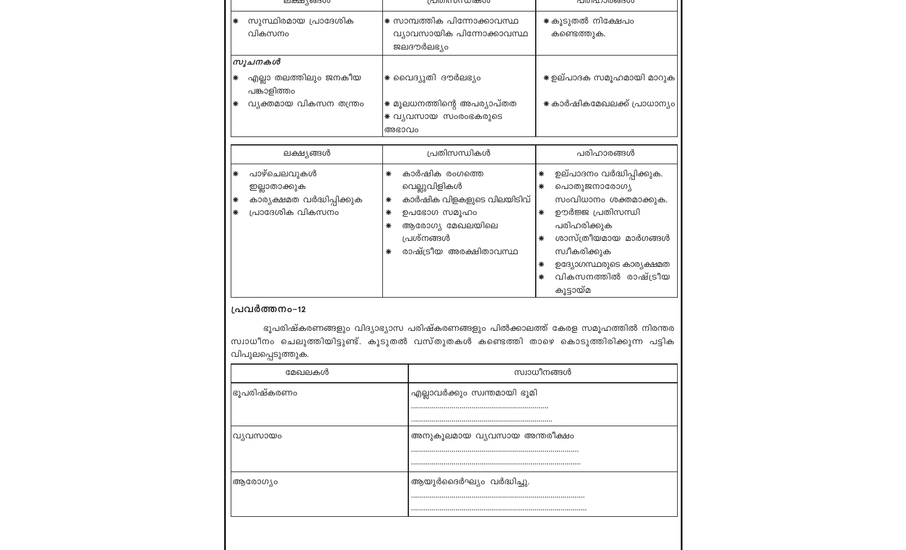|                  | ലക്ഷുംപോറ                                                                     | പ്രധാനസന്ധ്രക്കൾ                                                                                                                                               | പധപ്രാശങ്ങൾ                                                                                                                                                                                                                                   |
|------------------|-------------------------------------------------------------------------------|----------------------------------------------------------------------------------------------------------------------------------------------------------------|-----------------------------------------------------------------------------------------------------------------------------------------------------------------------------------------------------------------------------------------------|
| ∗                | സുസ്ഥിരമായ പ്രാദേശിക<br>വികസനം                                                | * സാമ്പത്തിക പിന്നോക്കാവസ്ഥ<br>വ്യാവസായിക പിന്നോക്കാവസ്ഥ<br>ജലദൗർലഭ്യം                                                                                         | * കൂടുതൽ നിക്ഷേപം<br>കണ്ടെത്തുക.                                                                                                                                                                                                              |
|                  | സൂചനകൾ                                                                        |                                                                                                                                                                |                                                                                                                                                                                                                                               |
| $\ast$           | എല്ലാ തലത്തിലും ജനകീയ<br>പങ്കാളിത്തം                                          | ∗ വൈദ്യുതി ദൗർലഭ്യം                                                                                                                                            | ☀ ഉല്പാദക സമൂഹമായി മാറുക                                                                                                                                                                                                                      |
| ∗                | വ്യക്തമായ വികസന തന്ത്രം                                                       | ☀ മൂലധനത്തിന്റെ അപര്യാപ്തത<br>* വ്യവസായ സംരംഭകരുടെ<br>അഭാവം                                                                                                    | ☀ കാർഷികമേഖലക്ക് പ്രാധാന്യം                                                                                                                                                                                                                   |
|                  | ലക്ഷ്യങ്ങൾ                                                                    | പ്രതിസന്ധികൾ                                                                                                                                                   | പരിഹാരങ്ങൾ                                                                                                                                                                                                                                    |
| $\ast$<br>₩<br>∗ | പാഴ്ചെലവുകൾ<br>ഇല്ലാതാക്കുക<br>കാര്യക്ഷമത വർദ്ധിപ്പിക്കുക<br>പ്രാദേശിക വികസനം | കാർഷിക രംഗത്തെ<br>∗<br>വെല്ലുവിളികൾ<br>കാർഷിക വിളകളുടെ വിലയിടിവ്<br>∗<br>ഉപഭോഗ സമൂഹം<br>∗<br>ആരോഗ്യ മേഖലയിലെ<br>∗<br>പ്രശ്നങ്ങൾ<br>രാഷ്ട്രീയ അരക്ഷിതാവസ്ഥ<br>∗ | ഉല്പാദനം വർദ്ധിപ്പിക്കുക.<br>∗<br>പൊതുജനാരോഗ്യ<br>∗<br>സംവിധാനം ശക്തമാക്കുക.<br>ഊർജ്ജ പ്രതിസന്ധി<br>∗<br>പരിഹരിക്കുക<br>ശാസ്ത്രീയമായ മാർഗങ്ങൾ<br>∗<br>സ്വീകരിക്കുക<br>ഉദ്യോഗസ്ഥരുടെ കാര്യക്ഷമത<br>∗<br>വികസനത്തിൽ രാഷ്ട്രീയ<br>∗<br>കൂട്ടായ്മ |

#### പ്രവർത്തനം-12

ഭൂപരിഷ്കരണങ്ങളും വിദ്യാഭ്യാസ പരിഷ്കരണങ്ങളും പിൽക്കാലത്ത് കേരള സമൂഹത്തിൽ നിരന്തര സ്വാധീനം ചെലുത്തിയിട്ടുണ്ട്. കൂടുതൽ വസ്തുതകൾ കണ്ടെത്തി താഴെ കൊടുത്തിരിക്കുന്ന പട്ടിക വിപുലപ്പെടുത്തുക.

| മേഖലകൾ              | സ്ഥാധീനങ്ങൾ                    |  |
|---------------------|--------------------------------|--|
| ഭൂപരിഷ്കരണ <u>ം</u> | ' എല്ലാവർക്കും സ്വന്തമായി ഭൂമി |  |
|                     |                                |  |
|                     |                                |  |
| വ്യവസായം            | അനുകൂലമായ വ്യവസായ അന്തരീക്ഷം   |  |
|                     |                                |  |
|                     |                                |  |
| ആരോഗ്യം             | ആയുർദൈർഘ്യം വർദ്ധിച്ചു.        |  |
|                     |                                |  |
|                     |                                |  |
|                     |                                |  |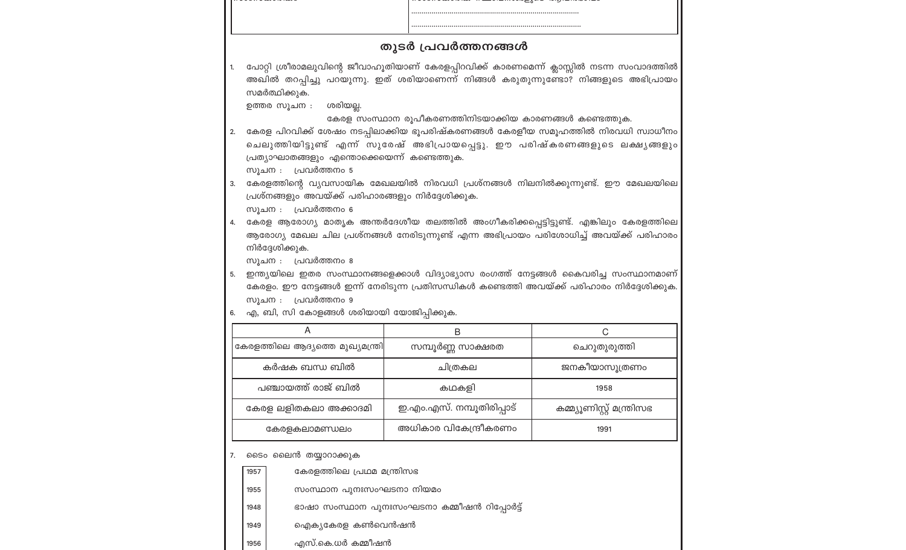|    |                                                                                                                                                                                                                                                                                                                                                                                                              | തുടർ പ്രവർത്തനങ്ങൾ                                                              |                           |
|----|--------------------------------------------------------------------------------------------------------------------------------------------------------------------------------------------------------------------------------------------------------------------------------------------------------------------------------------------------------------------------------------------------------------|---------------------------------------------------------------------------------|---------------------------|
|    |                                                                                                                                                                                                                                                                                                                                                                                                              |                                                                                 |                           |
| 1. | പോറ്റി ശ്രീരാമലുവിന്റെ ജീവാഹൂതിയാണ് കേരളപ്പിറവിക്ക് കാരണമെന്ന് ക്ലാസ്സിൽ നടന്ന സംവാദത്തിൽ<br>അഖിൽ തറപ്പിച്ചു പറയുന്നു. ഇത് ശരിയാണെന്ന് നിങ്ങൾ കരുതുന്നുണ്ടോ? നിങ്ങളുടെ അഭിപ്രായം<br>സമർത്ഥിക്കുക.<br>ശരിയല്ല.<br>ഉത്തര സൂചന :                                                                                                                                                                                |                                                                                 |                           |
| 2. | കേരള സംസ്ഥാന രൂപീകരണത്തിനിടയാക്കിയ കാരണങ്ങൾ കണ്ടെത്തുക.<br>കേരള പിറവിക്ക് ശേഷം നടപ്പിലാക്കിയ ഭൂപരിഷ്കരണങ്ങൾ കേരളീയ സമൂഹത്തിൽ നിരവധി സ്വാധീനം<br>ചെലുത്തിയിട്ടുണ്ട് എന്ന് സുരേഷ് അഭിപ്രായപ്പെട്ടു. ഈ പരിഷ്കരണങ്ങളുടെ ലക്ഷ്യങ്ങളും<br>പ്രത്യാഘാതങ്ങളും എന്തൊക്കെയെന്ന് കണ്ടെത്തുക.<br>സൂചന : പ്രവർത്തനം 5                                                                                                      |                                                                                 |                           |
| 3. | പ്രശ്നങ്ങളും അവയ്ക്ക് പരിഹാരങ്ങളും നിർദ്ദേശിക്കുക.<br>സൂചന : പ്രവർത്തനം 6                                                                                                                                                                                                                                                                                                                                    | കേരളത്തിന്റെ വ്യവസായിക മേഖലയിൽ നിരവധി പ്രശ്നങ്ങൾ നിലനിൽക്കുന്നുണ്ട്. ഈ മേഖലയിലെ |                           |
| 4. | കേരള ആരോഗ്യ മാതൃക അന്തർദേശീയ തലത്തിൽ അംഗീകരിക്കപ്പെട്ടിട്ടുണ്ട്. എങ്കിലും കേരളത്തിലെ<br>ആരോഗ്യ മേഖല ചില പ്രശ്നങ്ങൾ നേരിടുന്നുണ്ട് എന്ന അഭിപ്രായം പരിശോധിച്ച് അവയ്ക്ക് പരിഹാരം<br>നിർദ്ദേശിക്കുക.<br>സൂചന : പ്രവർത്തനം 8<br>ഇന്ത്യയിലെ ഇതര സംസ്ഥാനങ്ങളെക്കാൾ വിദ്യാഭ്യാസ രംഗത്ത് നേട്ടങ്ങൾ കൈവരിച്ച സംസ്ഥാനമാണ്<br>കേരളം. ഈ നേട്ടങ്ങൾ ഇന്ന് നേരിടുന്ന പ്രതിസന്ധികൾ കണ്ടെത്തി അവയ്ക്ക് പരിഹാരം നിർദ്ദേശിക്കുക. |                                                                                 |                           |
|    |                                                                                                                                                                                                                                                                                                                                                                                                              |                                                                                 |                           |
| 5. | സൂചന : പ്രവർത്തനം 9                                                                                                                                                                                                                                                                                                                                                                                          |                                                                                 |                           |
| 6. | എ, ബി, സി കോളങ്ങൾ ശരിയായി യോജിപ്പിക്കുക.                                                                                                                                                                                                                                                                                                                                                                     |                                                                                 |                           |
|    | A<br>കേരളത്തിലെ ആദ്യത്തെ മുഖ്യമന്ത്രി                                                                                                                                                                                                                                                                                                                                                                        | B                                                                               | C<br>ചെറുതുരുത്തി         |
|    | കർഷക ബന്ധ ബിൽ                                                                                                                                                                                                                                                                                                                                                                                                | സമ്പൂർണ്ണ സാക്ഷരത<br>ചിത്രകല                                                    | ജനകീയാസൂത്രണം             |
|    | പഞ്ചായത്ത് രാജ് ബിൽ                                                                                                                                                                                                                                                                                                                                                                                          | കഥകളി                                                                           | 1958                      |
|    | കേരള ലളിതകലാ അക്കാദമി                                                                                                                                                                                                                                                                                                                                                                                        | ഇ.എം.എസ്. നമ്പൂതിരിപ്പാട്                                                       | കമ്മ്യൂണിസ്റ്റ് മന്ത്രിസഭ |
|    | കേരളകലാമണ്ഡലം                                                                                                                                                                                                                                                                                                                                                                                                | അധികാര വികേന്ദ്രീകരണം                                                           | 1991                      |
|    |                                                                                                                                                                                                                                                                                                                                                                                                              |                                                                                 |                           |
| 7. | ടൈം ലൈൻ തയ്യാറാക്കുക<br>കേരളത്തിലെ പ്രഥമ മന്ത്രിസഭ<br>1957                                                                                                                                                                                                                                                                                                                                                   |                                                                                 |                           |
|    | സംസ്ഥാന പുനഃസംഘടനാ നിയമം<br>1955                                                                                                                                                                                                                                                                                                                                                                             |                                                                                 |                           |
|    | 1948                                                                                                                                                                                                                                                                                                                                                                                                         | ഭാഷാ സംസ്ഥാന പുനഃസംഘടനാ കമ്മീഷൻ റിപ്പോർട്ട്                                     |                           |
|    | ഐക്യകേരള കൺവെൻഷൻ<br>1949                                                                                                                                                                                                                                                                                                                                                                                     |                                                                                 |                           |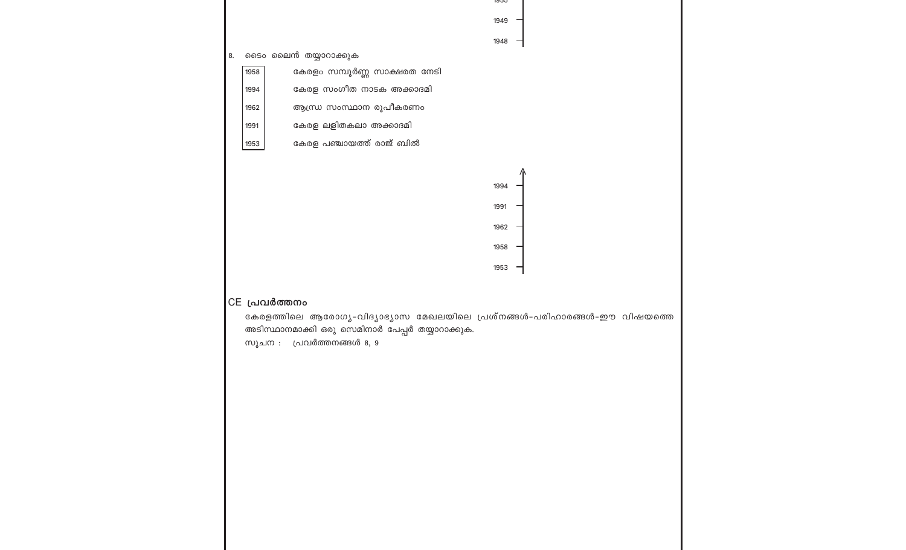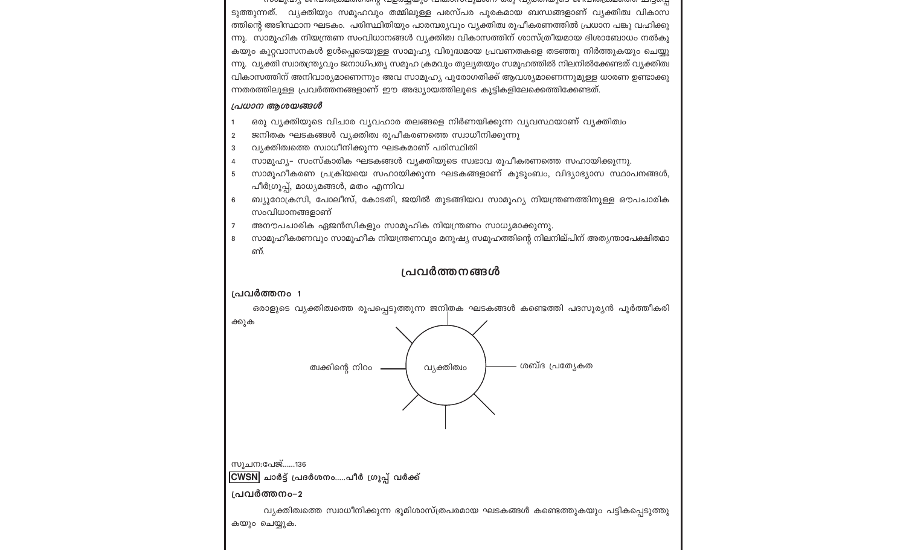7100pdf(p)2) @ Kthrolfooppic/ionide /p50pdf@\olimpothorphpoent, and /p70m/m@\and @ Kthrolfooppic/ion midavidi ടുത്തുന്നത്. വ്യക്തിയും സമൂഹവും തമ്മിലുള്ള പരസ്പര പൂരകമായ ബന്ധങ്ങളാണ് വ്യക്തിത്വ വികാസ ത്തിന്റെ അടിസ്ഥാന ഘടകം. പരിസ്ഥിതിയും പാരമ്പര്യവും വ്യക്തിത്വ രൂപീകരണത്തിൽ പ്രധാന പങ്കു വഹിക്കു ന്നു. സാമൂഹിക നിയന്ത്രണ സംവിധാനങ്ങൾ വൃക്തിത്വ വികാസത്തിന് ശാസ്ത്രീയമായ ദിശാബോധം നൽകു കയും കുറ്റവാസനകൾ ഉൾപ്പെടെയുള്ള സാമൂഹ്യ വിരുദ്ധമായ പ്രവണതകളെ തടഞ്ഞു നിർത്തുകയും ചെയ്യു ന്നു. വ്യക്തി സ്വാതന്ത്ര്യവും ജനാധിപത്യ സമൂഹ ക്രമവും തുല്യതയും സമൂഹത്തിൽ നിലനിൽക്കേണ്ടത് വ്യക്തിത്വ വികാസത്തിന് അനിവാര്യമാണെന്നും അവ സാമൂഹ്യ പുരോഗതിക്ക് ആവശ്യമാണെന്നുമുള്ള ധാരണ ഉണ്ടാക്കു ന്നതരത്തിലുള്ള പ്രവർത്തനങ്ങളാണ് ഈ അദ്ധ്യായത്തിലൂടെ കുട്ടികളിലേക്കെത്തിക്കേണ്ടത്.

#### പ്രധാന ആശയങ്ങൾ

- ഒരു വ്യക്തിയുടെ വിചാര വ്യവഹാര തലങ്ങളെ നിർണയിക്കുന്ന വ്യവസ്ഥയാണ് വ്യക്തിത്വം
- ജനിതക ഘടകങ്ങൾ വ്യക്തിത്വ രൂപീകരണത്തെ സ്വാധീനിക്കുന്നു  $\overline{2}$
- വ്യക്തിത്വത്തെ സ്വാധീനിക്കുന്ന ഘടകമാണ് പരിസ്ഥിതി 3
- സാമൂഹ്യ- സംസ്കാരിക ഘടകങ്ങൾ വ്യക്തിയുടെ സ്വഭാവ രൂപീകരണത്തെ സഹായിക്കുന്നു.  $\overline{4}$
- സാമൂഹീകരണ പ്രക്രിയയെ സഹായിക്കുന്ന ഘടകങ്ങളാണ് കുടുംബം, വിദ്യാഭ്യാസ സ്ഥാപനങ്ങൾ, 5 പീർഗ്രൂപ്പ്, മാധ്യമങ്ങൾ, മതം എന്നിവ
- ബ്യുറോക്രസി, പോലീസ്, കോടതി, ജയിൽ തുടങ്ങിയവ സാമുഹ്യ നിയന്ത്രണത്തിനുള്ള ഔപചാരിക 6 സംവിധാനങ്ങളാണ്
- അനൗപചാരിക ഏജൻസികളും സാമൂഹിക നിയന്ത്രണം സാധ്യമാക്കുന്നു.
- സാമൂഹീകരണവും സാമൂഹീക നിയന്ത്രണവും മനുഷ്യ സമൂഹത്തിന്റെ നിലനില്പിന് അത്യന്താപേക്ഷിതമാ 8 ണ്.

#### പ്രവർത്തനങ്ങൾ

#### പ്രവർത്തനം 1

ഒരാളുടെ വ്യക്തിത്വത്തെ രൂപപ്പെടുത്തുന്ന ജനിതക ഘടകങ്ങൾ കണ്ടെത്തി പദസൂര്യൻ പൂർത്തീകരി ക്കുക

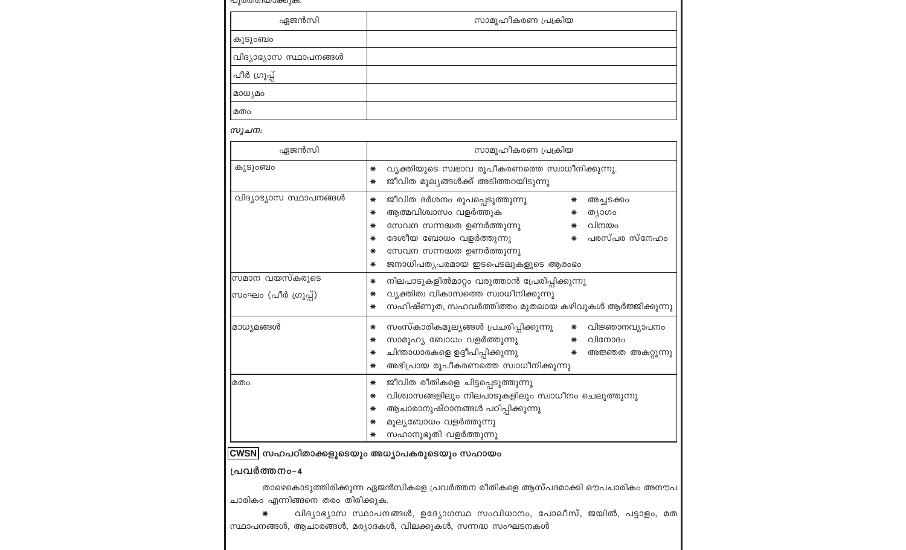| പൂരത്തിയാക്കുക.                       |                                                                                                                                                                                                                                                                     |  |  |
|---------------------------------------|---------------------------------------------------------------------------------------------------------------------------------------------------------------------------------------------------------------------------------------------------------------------|--|--|
| ഏജൻസി                                 | സാമൂഹീകരണ പ്രക്രിയ                                                                                                                                                                                                                                                  |  |  |
| കുടുംബം                               |                                                                                                                                                                                                                                                                     |  |  |
| വിദ്യാഭ്യാസ സ്ഥാപനങ്ങൾ                |                                                                                                                                                                                                                                                                     |  |  |
| പീർ ഗ്രൂപ്പ്                          |                                                                                                                                                                                                                                                                     |  |  |
| മാധ്യമം                               |                                                                                                                                                                                                                                                                     |  |  |
| മതം                                   |                                                                                                                                                                                                                                                                     |  |  |
| സൂചന:                                 |                                                                                                                                                                                                                                                                     |  |  |
| ഏജൻസി                                 | സാമൂഹീകരണ പ്രക്രിയ                                                                                                                                                                                                                                                  |  |  |
| കുടുംബം                               | വ്യക്തിയുടെ സ്വഭാവ രൂപീകരണത്തെ സ്വാധീനിക്കുന്നു.<br>∗<br>ജീവിത മൂല്യങ്ങൾക്ക് അടിത്തറയിടുന്നു<br>∗                                                                                                                                                                   |  |  |
| വിദ്യാഭ്യാസ സ്ഥാപനങ്ങൾ                | ജീവിത ദർശനം രൂപപ്പെടുത്തുന്നു<br>∗<br>∗<br>അച്ചടക്കം<br>ആത്മവിശ്വാസം വളർത്തുക<br>ത്യാഗം<br>∗<br>വിനയം<br>സേവന സന്നദ്ധത ഉണർത്തുന്നു<br>∗<br>ദേശീയ ബോധം വളർത്തുന്നു<br>പരസ്പര സ്നേഹം<br>∗<br>സേവന സന്നദ്ധത ഉണർത്തുന്നു<br>∗<br>ജനാധിപത്യപരമായ ഇടപെടലുകളുടെ ആരംഭം<br>∗ |  |  |
| സമാന വയസ്കരുടെ<br>സംഘം (പീർ ഗ്രൂപ്പ്) | നിലപാടുകളിൽമാറ്റം വരുത്താൻ പ്രേരിപ്പിക്കുന്നു<br>∗<br>വ്യക്തിത്വ വികാസത്തെ സ്വാധീനിക്കുന്നു<br>∗<br>സഹിഷ്ണുത, സഹവർത്തിത്തം മുതലായ കഴിവുകൾ ആർജ്ജിക്കുന്നു<br>∗                                                                                                       |  |  |
| മാധ്യമങ്ങൾ                            | സംസ്കാരികമൂല്യങ്ങൾ പ്രചരിപ്പിക്കുന്നു<br>വിജ്ഞാനവ്യാപനം<br>∗<br>$\ast$<br>സാമൂഹ്യ ബോധം വളർത്തുന്നു<br>വിനോദം<br>∗<br>∗<br>ചിന്താധാരകളെ ഉദ്ദീപിപ്പിക്കുന്നു<br>∗<br>അജ്ഞത അകറ്റുന്നു<br>∗<br>അഭിപ്രായ രൂപീകരണത്തെ സ്വാധീനിക്കുന്നു<br>∗                              |  |  |
| മതം                                   | ജീവിത രീതികളെ ചിട്ടപ്പെടുത്തുന്നു<br>$\ast$<br>വിശ്വാസങ്ങളിലും നിലപാടുകളിലും സ്വാധീനം ചെലുത്തുന്നു<br>∗<br>ആചാരാനുഷ്ഠാനങ്ങൾ പഠിപ്പിക്കുന്നു<br>∗<br>മൂല്യബോധം വളർത്തുന്നു<br>∗<br>സഹാനുഭൂതി വളർത്തുന്നു<br>∗                                                        |  |  |
| പ്രവർത്തനം-4                          | <u> CWSN </u> സഹപഠിതാക്കളുടെയും അധ്യാപകരുടെയും സഹായം                                                                                                                                                                                                                |  |  |
| ചാരികം എന്നിങ്ങനെ തരം തിരിക്കുക.<br>∗ | താഴെകൊടുത്തിരിക്കുന്ന ഏജൻസികളെ പ്രവർത്തന രീതികളെ ആസ്പദമാക്കി ഔപചാരികം അനൗപ<br>വിദ്യാഭ്യാസ സ്ഥാപനങ്ങൾ, ഉദ്യോഗസ്ഥ സംവിധാനം, പോലീസ്, ജയിൽ, പട്ടാളം, മത<br>സ്ഥാപനങ്ങൾ, ആചാരങ്ങൾ, മര്യാദകൾ, വിലക്കുകൾ, സന്നദ്ധ സംഘടനകൾ                                                   |  |  |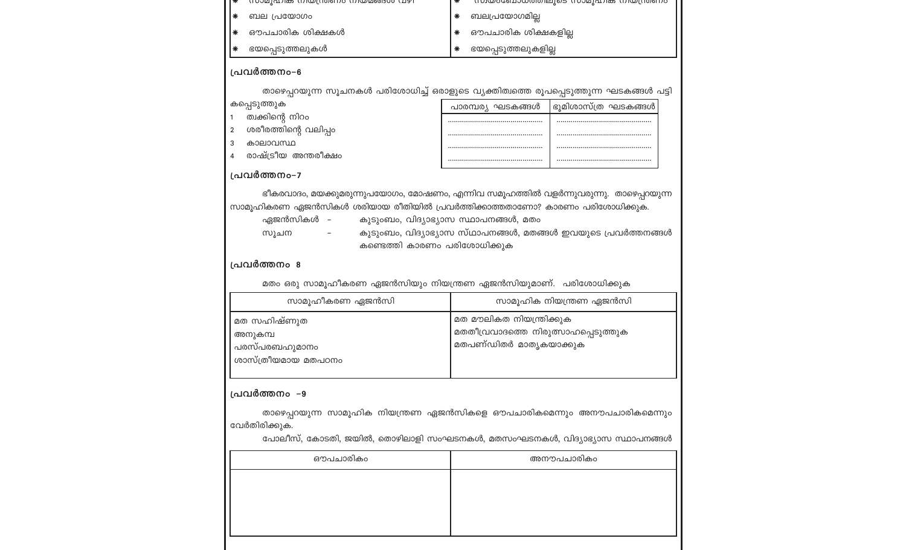| $\ast$ | ഭയപ്പെടുത്തലുകൾ                                                           |   | ഭയപ്പെടുത്തലുകളില്ല                                      |
|--------|---------------------------------------------------------------------------|---|----------------------------------------------------------|
| $\ast$ | ഔപചാരിക ശിക്ഷകൾ                                                           |   | ഔപചാരിക ശിക്ഷകളില്ല                                      |
| ⋇      | ബല പ്രയോഗം                                                                |   | ബലപ്രയോഗമില്ല                                            |
|        | $\star$ (100 kg) (2010) (100 kg) (100 kg) (100 kg) (100 kg) (2010) (2011) | ক | <u>UNO CONTINUO DE LO SUNTA LA CONTINUACIÓN DE LO SU</u> |

#### പ്രവർത്തനം-6

താഴെപ്പറയുന്ന സൂചനകൾ പരിശോധിച്ച് ഒരാളുടെ വ്യക്തിത്വത്തെ രൂപപ്പെടുത്തുന്ന ഘടകങ്ങൾ പട്ടി

#### കപ്പെടുത്തുക

ത്വക്കിന്റെ നിറം  $1 \quad$ 

2 ശരീരത്തിന്റെ വലിപ്പം

- കാലാവസ്ഥ  $3<sup>7</sup>$
- രാഷ്ട്രീയ അന്തരീക്ഷം  $\overline{4}$

| പാരമ്പര്യ ഘടകങ്ങൾ | ഭൂമിശാസ്ത്ര ഘടകങ്ങൾ |
|-------------------|---------------------|
|                   |                     |
|                   |                     |
|                   |                     |
|                   |                     |

#### പ്രവർത്തനം-7

ഭീകരവാദം, മയക്കുമരുന്നുപയോഗം, മോഷണം, എന്നിവ സമൂഹത്തിൽ വളർന്നുവരുന്നു. താഴെപ്പറയുന്ന സാമൂഹികരണ ഏജൻസികൾ ശരിയായ രീതിയിൽ പ്രവർത്തിക്കാത്തതാണോ? കാരണം പരിശോധിക്കുക.

- ഏജൻസികൾ –
- കുടുംബം, വിദ്യാഭ്യാസ സ്ഥാപനങ്ങൾ, മതം
- സൂചന
- കുടുംബം, വിദ്യാഭ്യാസ സ്ഥാപനങ്ങൾ, മതങ്ങൾ ഇവയുടെ പ്രവർത്തനങ്ങൾ  $\sim$ കണ്ടെത്തി കാരണം പരിശോധിക്കുക

#### പ്രവർത്തനം 8

മതം ഒരു സാമൂഹീകരണ ഏജൻസിയും നിയന്ത്രണ ഏജൻസിയുമാണ്. പരിശോധിക്കുക

| സാമൂഹിക നിയന്ത്രണ ഏജൻസി                                           |
|-------------------------------------------------------------------|
| മത മൗലികത നിയന്ത്രിക്കുക<br>, മതതീവ്രവാദത്തെ നിരുത്സാഹപ്പെടുത്തുക |
| മതപണ്ഡിതർ മാതൃകയാക്കുക                                            |
|                                                                   |
|                                                                   |

#### പ്രവർത്തനം –9

താഴെപ്പറയുന്ന സാമൂഹിക നിയന്ത്രണ ഏജൻസികളെ ഔപചാരികമെന്നും അനൗപചാരികമെന്നും വേർതിരിക്കുക.

പോലീസ്, കോടതി, ജയിൽ, തൊഴിലാളി സംഘടനകൾ, മതസംഘടനകൾ, വിദ്യാഭ്യാസ സ്ഥാപനങ്ങൾ

| ഔപചാരികം | അനൗപചാരികം |
|----------|------------|
|          |            |
|          |            |
|          |            |
|          |            |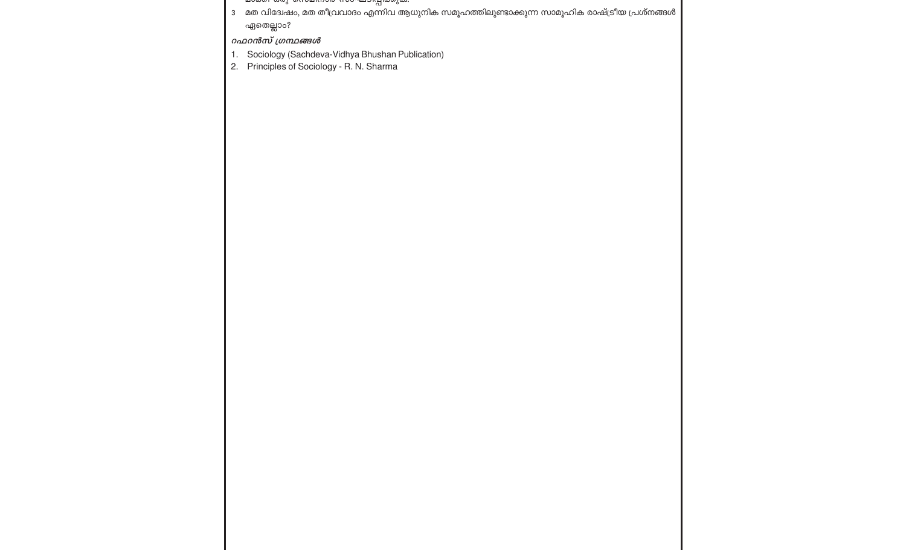- തായും മുറുവാമസായ സ<del>ാഘ</del>ാസ്പ്രയുത.
- ാ മത വിദേശ്ചം, മത തീവ്രവാദം എന്നിവ ആധുനിക സമൂഹത്തിലുണ്ടാക്കുന്ന സാമൂഹിക രാഷ്ട്രീയ പ്രശ്നങ്ങൾ ഏതെല്ലാം?

റഫറൻസ് ഗ്രന്ഥങ്ങൾ

- 1. Sociology (Sachdeva-Vidhya Bhushan Publication)
- 2. Principles of Sociology R. N. Sharma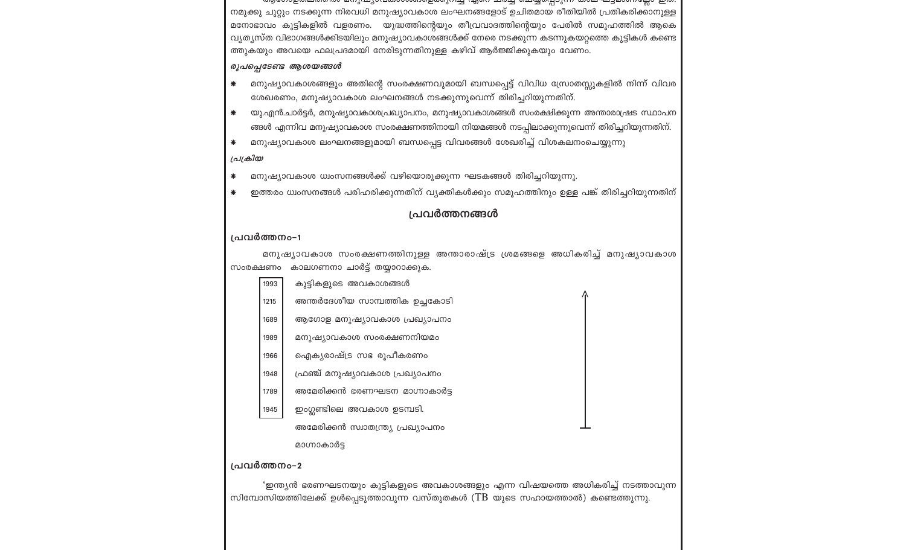ശ്രിശാന്റെ അവസ്ഥ്യാവയാറുമായിരുന്ന എന്ന ചര്ച്ച് യെര്യവാവന് താല പ്രാമാധ്യയ്ക്ക് ഇത് നമുക്കു ചുറ്റും നടക്കുന്ന നിരവധി മനുഷ്യാവകാശ ലംഘനങ്ങളോട് ഉചിതമായ രീതിയിൽ പ്രതികരിക്കാനുള്ള മനോഭാവം കുട്ടികളിൽ വളരണം. യുദ്ധത്തിന്റെയും തീവ്രവാദത്തിന്റെയും പേരിൽ സമൂഹത്തിൽ ആകെ വ്യത്യസ്ത വിഭാഗങ്ങൾക്കിടയിലും മനുഷ്യാവകാശങ്ങൾക്ക് നേരെ നടക്കുന്ന കടന്നുകയറ്റത്തെ കുട്ടികൾ കണ്ടെ ത്തുകയും അവയെ ഫലപ്രദമായി നേരിടുന്നതിനുള്ള കഴിവ് ആർജ്ജിക്കുകയും വേണം.

#### രൂപപ്പെടേണ്ട ആശയങ്ങൾ

- മനുഷ്യാവകാശങ്ങളും അതിന്റെ സംരക്ഷണവുമായി ബന്ധപ്പെട്ട് വിവിധ സ്രോതസ്സുകളിൽ നിന്ന് വിവര  $*$ ശേഖരണം, മനുഷ്യാവകാശ ലംഘനങ്ങൾ നടക്കുന്നുവെന്ന് തിരിച്ചറിയുന്നതിന്.
- യു.എൻ.ചാർട്ടർ, മനുഷ്യാവകാശപ്രഖ്യാപനം, മനുഷ്യാവകാശങ്ങൾ സംരക്ഷിക്കുന്ന അന്താരാഷ്രട സ്ഥാപന  $\ast$ ങ്ങൾ എന്നിവ മനുഷ്യാവകാശ സംരക്ഷണത്തിനായി നിയമങ്ങൾ നടപ്പിലാക്കുന്നുവെന്ന് തിരിച്ചറിയുന്നതിന്.
- മനുഷ്യാവകാശ ലംഘനങ്ങളുമായി ബന്ധപ്പെട്ട വിവരങ്ങൾ ശേഖരിച്ച് വിശകലനംചെയ്യുന്നു  $\ast$

#### പ്രക്രിയ

- മനുഷ്യാവകാശ ധ്വംസനങ്ങൾക്ക് വഴിയൊരുക്കുന്ന ഘടകങ്ങൾ തിരിച്ചറിയുന്നു. ∗
- ഇത്തരം ധ്വംസനങ്ങൾ പരിഹരിക്കുന്നതിന് വ്യക്തികൾക്കും സമൂഹത്തിനും ഉള്ള പങ്ക് തിരിച്ചറിയുന്നതിന്

### പ്രവർത്തനങ്ങൾ

#### പ്രവർത്തനം-1

1945

പ്രവർത്തനം–2

മനുഷ്യാവകാശ സംരക്ഷണത്തിനുള്ള അന്താരാഷ്ട്ര ശ്രമങ്ങളെ അധികരിച്ച് മനുഷ്യാവകാശ സംരക്ഷണം കാലഗണനാ ചാർട്ട് തയ്യാറാക്കുക.

- കുട്ടികളുടെ അവകാശങ്ങൾ 1993
- 
- അന്തർദേശീയ സാമ്പത്തിക ഉച്ചകോടി 1215
- 
- 1689 ആഗോള മനുഷ്യാവകാശ പ്രഖ്യാപനം
- മനുഷ്യാവകാശ സംരക്ഷണനിയമം 1989
- 
- 
- 
- 
- ഐക്യരാഷ്ട്ര സഭ രൂപീകരണം 1966
- 

മാഗ്നാകാർട്ട

- 
- 
- 
- 
- ഫ്രഞ്ച് മനുഷ്യാവകാശ പ്രഖ്യാപനം 1948
- 
- 1789 അമേരിക്കൻ ഭരണഘടന മാഗ്നാകാർട്ട
- 
- 
- 
- 
- 
- 
- 
- 
- 
- 
- 
- 
- 
- 
- 
- 
- 
- 
- 

ഇംഗ്ലണ്ടിലെ അവകാശ ഉടമ്പടി.

അമേരിക്കൻ സ്വാതന്ത്ര്യ പ്രഖ്യാപനം

- 
- 
- 
- 
- 

'ഇന്ത്യൻ ഭരണഘടനയും കുട്ടികളുടെ അവകാശങ്ങളും എന്ന വിഷയത്തെ അധികരിച്ച് നടത്താവുന്ന

സിമ്പോസിയത്തിലേക്ക് ഉൾപ്പെടുത്താവുന്ന വസ്തുതകൾ (TB യുടെ സഹായത്താൽ) കണ്ടെത്തുന്നു.

- 
- 
- - -
-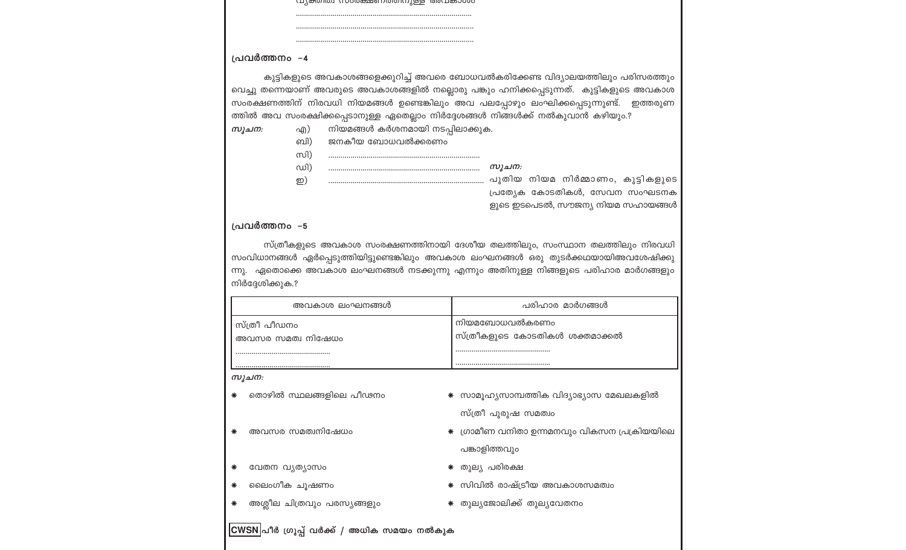|       | പ്രവർത്തനം –4                 |                                                       |                                                                                                                                                                                                                                                                                                                                                                                                       |
|-------|-------------------------------|-------------------------------------------------------|-------------------------------------------------------------------------------------------------------------------------------------------------------------------------------------------------------------------------------------------------------------------------------------------------------------------------------------------------------------------------------------------------------|
| സൂചന: | എ)<br>ബി)<br>സി)<br>ഡി)<br>ഇ) | നിയമങ്ങൾ കർശനമായി നടപ്പിലാക്കുക.<br>ജനകീയ ബോധവൽക്കരണം | കുട്ടികളുടെ അവകാശങ്ങളെക്കുറിച്ച് അവരെ ബോധവൽകരിക്കേണ്ട വിദ്യാലയത്തിലും പരിസരത്തും<br>വെച്ചു തന്നെയാണ് അവരുടെ അവകാശങ്ങളിൽ നല്ലൊരു പങ്കും ഹനിക്കപ്പെടുന്നത്.  കുട്ടികളുടെ അവകാശ<br>സംരക്ഷണത്തിന് നിരവധി നിയമങ്ങൾ ഉണ്ടെങ്കിലും അവ പലപ്പോഴും ലംഘിക്കപ്പെടുന്നുണ്ട്.  ഇത്തരുണ<br>ത്തിൽ അവ സംരക്ഷിക്കപ്പെടാനുള്ള ഏതെല്ലാം നിർദ്ദേശങ്ങൾ നിങ്ങൾക്ക് നൽകുവാൻ കഴിയും.?<br>സൂചന:<br>പ്രത്യേക കോടതികൾ, സേവന സംഘടനക |
|       |                               |                                                       | ളുടെ ഇടപെടൽ, സൗജന്യ നിയമ സഹായങ്ങൾ                                                                                                                                                                                                                                                                                                                                                                     |
|       |                               |                                                       |                                                                                                                                                                                                                                                                                                                                                                                                       |
|       | പ്രവർത്തനം –5                 |                                                       | സ്ത്രീകളുടെ അവകാശ സംരക്ഷണത്തിനായി ദേശീയ തലത്തിലും, സംസ്ഥാന തലത്തിലും നിരവധി<br>സംവിധാനങ്ങൾ ഏർപ്പെടുത്തിയിട്ടുണ്ടെങ്കിലും അവകാശ ലംഘനങ്ങൾ ഒരു തുടർക്കഥയായിഅവശേഷിക്കു<br>ന്നു. ഏതൊക്കെ അവകാശ ലംഘനങ്ങൾ നടക്കുന്നു എന്നും അതിനുള്ള നിങ്ങളുടെ പരിഹാര മാർഗങ്ങളും                                                                                                                                             |
|       | നിർദ്ദേശിക്കുക.?              | അവകാശ ലംഘനങ്ങൾ                                        | പരിഹാര മാർഗങ്ങൾ                                                                                                                                                                                                                                                                                                                                                                                       |
|       | സ്ത്രീ പീഡനം                  |                                                       | നിയമബോധവൽകരണം                                                                                                                                                                                                                                                                                                                                                                                         |
|       | അവസര സമത്വ നിഷേധം             |                                                       | സ്ത്രീകളുടെ കോടതികൾ ശക്തമാക്കൽ                                                                                                                                                                                                                                                                                                                                                                        |
|       |                               |                                                       |                                                                                                                                                                                                                                                                                                                                                                                                       |
| സൂചന: |                               |                                                       |                                                                                                                                                                                                                                                                                                                                                                                                       |
|       |                               | തൊഴിൽ സ്ഥലങ്ങളിലെ പീഢനം                               | * സാമൂഹ്യസാമ്പത്തിക വിദ്യാഭ്യാസ മേഖലകളിൽ                                                                                                                                                                                                                                                                                                                                                              |
|       |                               |                                                       | സ്ത്രീ പുരുഷ സമത്വം                                                                                                                                                                                                                                                                                                                                                                                   |
| ∗     | അവസര സമത്വനിഷേധം              |                                                       | ഗ്രാമീണ വനിതാ ഉന്നമനവും വികസന പ്രക്രിയയിലെ                                                                                                                                                                                                                                                                                                                                                            |
|       |                               |                                                       | പങ്കാളിത്തവും                                                                                                                                                                                                                                                                                                                                                                                         |
| ₩     | വേതന വ്യത്യാസം                |                                                       | ☀ തുലൃ പരിരക്ഷ                                                                                                                                                                                                                                                                                                                                                                                        |
| ∗     | ലൈംഗീക ചൂഷണം                  |                                                       | സിവിൽ രാഷ്ട്രീയ അവകാശസമത്വം                                                                                                                                                                                                                                                                                                                                                                           |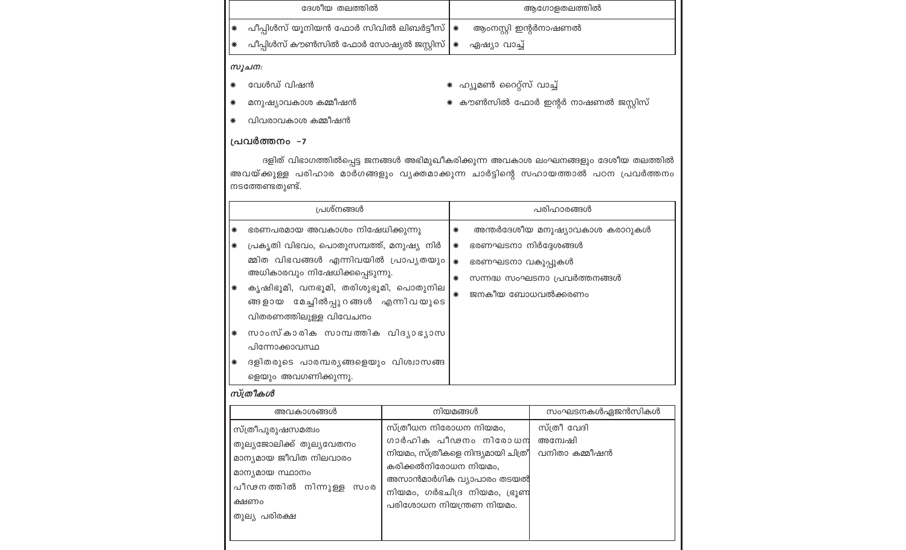|   | ദേശീയ തലത്തിൽ                                                                 | ആഗോളതലത്തിൽ          |
|---|-------------------------------------------------------------------------------|----------------------|
| ₩ | പീപ്പിൾസ് യൂനിയൻ ഫോർ സിവിൽ ലിബർട്ടീസ് $ \ast $                                | ആംനസ്റ്റി ഇന്റർനാഷണൽ |
| ₩ | പീപ്പിൾസ് കൗൺസിൽ ഫോർ സോഷ്യൽ ജസ്റ്റിസ് <b>  <math>\ast</math></b> ഏഷ്യാ വാച്ച് |                      |
|   |                                                                               |                      |

#### സൂചന:

- \* വേൾഡ് വിഷൻ
- \* ഹ്യൂമൺ റൈറ്റ്സ് വാച്ച് \* കൗൺസിൽ ഫോർ ഇന്റർ നാഷണൽ ജസ്റ്റിസ്
- മനുഷ്യാവകാശ കമ്മീഷൻ  $*$
- \* വിവരാവകാശ കമ്മീഷൻ

#### പ്രവർത്തനം –7

ദളിത് വിഭാഗത്തിൽപ്പെട്ട ജനങ്ങൾ അഭിമുഖീകരിക്കുന്ന അവകാശ ലംഘനങ്ങളും ദേശീയ തലത്തിൽ അവയ്ക്കുള്ള പരിഹാര മാർഗങ്ങളും വൃക്തമാക്കുന്ന ചാർട്ടിന്റെ സഹായത്താൽ പഠന പ്രവർത്തനം നടത്തേണ്ടതുണ്ട്.

| പ്രശ്നങ്ങൾ            |                                                                                                                                                                                            |                                                                                                                                                                               | പരിഹാരങ്ങൾ |                                           |                                                                |
|-----------------------|--------------------------------------------------------------------------------------------------------------------------------------------------------------------------------------------|-------------------------------------------------------------------------------------------------------------------------------------------------------------------------------|------------|-------------------------------------------|----------------------------------------------------------------|
| ∗<br>$\ast$<br>$\ast$ | ഭരണപരമായ അവകാശം നിഷേധിക്കുന്നു<br>പ്രകൃതി വിഭവം, പൊതുസമ്പത്ത്, മനുഷ്യ നിർ<br>മ്മിത വിഭവങ്ങൾ എന്നിവയിൽ പ്രാപൃതയും<br>അധികാരവും നിഷേധിക്കപ്പെടുന്നു.<br>കൃഷിഭൂമി, വനഭൂമി, തരിശുഭൂമി, പൊതുനില |                                                                                                                                                                               |            | ഭരണഘടനാ നിർദ്ദേശങ്ങൾ<br>ഭരണഘടനാ വകുപ്പുകൾ | അന്തർദേശീയ മനുഷ്യാവകാശ കരാറുകൾ<br>സന്നദ്ധ സംഘടനാ പ്രവർത്തനങ്ങൾ |
| $\ast$<br>∗           | ങ്ങളായ മേച്ചിൽപ്പുറങ്ങൾ എന്നിവയുടെ<br>വിതരണത്തിലുള്ള വിവേചനം<br>സാംസ്കാരിക സാമ്പത്തിക വിദൃാഭൃാസ<br>പിന്നോക്കാവസ്ഥ<br>ദളിതരുടെ പാരമ്പര്യങ്ങളെയും വിശ്വാസങ്ങ<br>ളെയും അവഗണിക്കുന്നു.         |                                                                                                                                                                               |            | ജനകീയ ബോധവൽക്കരണം<br>$\ast$               |                                                                |
|                       | സ്ത്രീകൾ                                                                                                                                                                                   |                                                                                                                                                                               |            |                                           |                                                                |
| നിയമങ്ങൾ<br>അവകാശങ്ങൾ |                                                                                                                                                                                            |                                                                                                                                                                               |            |                                           | സംഘടനകൾഏജൻസികൾ                                                 |
|                       | സ്ത്രീപുരുഷസമത്വം<br>തുല്യജോലിക്ക് തുല്യവേതനം<br>മാന്യമായ ജീവിത നിലവാരം<br>മാന്യമായ സ്ഥാനം<br>പീഢനത്തിൽ നിന്നുള്ള സംര<br>ക്ഷണം<br>തുല്യ പരിരക്ഷ                                            | സ്ത്രീധന നിരോധന നിയമം,<br>നിയമം, സ്ത്രീകളെ നിന്ദ്യമായി ചിത്രീ<br>കരിക്കൽനിരോധന നിയമം,<br>അസാൻമാർഗിക വ്യാപാരം തടയൽ<br>നിയമം, ഗർഭചിദ്ര നിയമം, ഭ്രൂണ<br>പരിശോധന നിയന്ത്രണ നിയമം. |            | ഗാർഹിക പീഢനം നിരോധന                       | സ്ത്രീ വേദി<br>അന്വേഷി<br>വനിതാ കമ്മീഷൻ                        |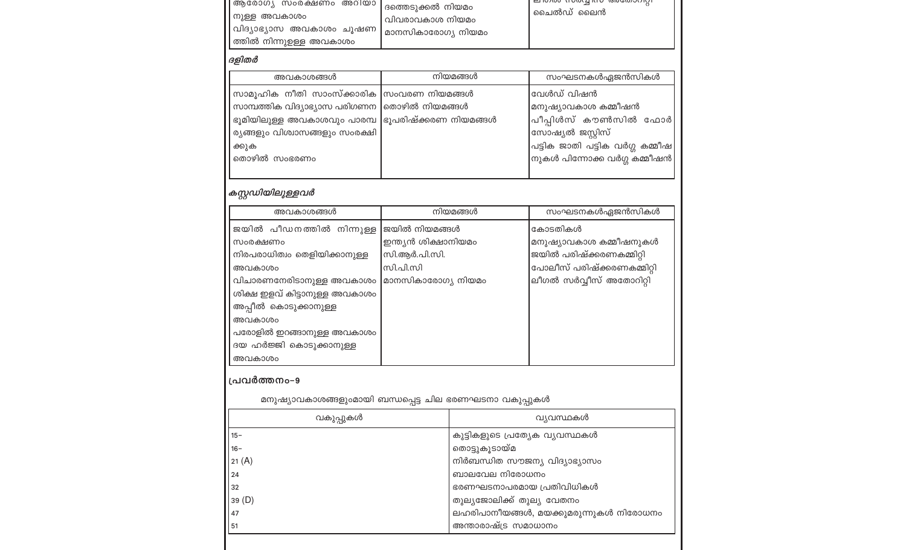| , ആരോഗ്യ സംരക്ഷണം  അറിയാ   ദത്തെടുക്കൽ നിയമം<br> നുള്ള അവകാശം<br> വിദ്യാഭ്യാസ അവകാശം ചുഷണ  <br> ത്തിൽ നിന്നുഉള്ള അവകാശം | വിവരാവകാശ നിയമം<br>്രമാനസികാരോഗ്യ നിയമം | ו האמס נו טיסנק ונו ט יפוספיסטטולוו<br>ചൈൽഡ് ലൈൻ |
|-------------------------------------------------------------------------------------------------------------------------|-----------------------------------------|--------------------------------------------------|
|                                                                                                                         |                                         |                                                  |

### ദളിതർ

| അവകാശങ്ങൾ                                          | നിയമങ്ങൾ | സംഘടനകൾഏജൻസികൾ                                                                                                        |
|----------------------------------------------------|----------|-----------------------------------------------------------------------------------------------------------------------|
| സാമൂഹിക നീതി സാംസ്ക്കാരിക  സംവരണ നിയമങ്ങൾ          |          | വേൾഡ് വിഷൻ                                                                                                            |
| സാമ്പത്തിക വിദ്യാഭ്യാസ പരിഗണന  തൊഴിൽ നിയമങ്ങൾ      |          | മനുഷ്യാവകാശ കമ്മീഷൻ                                                                                                   |
| ഭൂമിയിലുള്ള അവകാശവും പാരമ്പ  ഭൂപരിഷ്ക്കരണ നിയമങ്ങൾ |          | പീപ്പിൾസ് കൗൺസിൽ ഫോർ                                                                                                  |
| ര്യങ്ങളും വിശ്വാസങ്ങളും സംരക്ഷി                    |          | സോഷ്യൽ ജസ്റ്റിസ്                                                                                                      |
| ക്കുക                                              |          | $\left\lfloor \mathrm{u} \mathrm{g} \right\rfloor$ ക ജാതി പട്ടിക വർഗ്ഗ കമ്മീഷ $\left\lfloor \mathrm{u} \right\rfloor$ |
| തൊഴിൽ സംഭരണം                                       |          | $ $ നുകൾ പിന്നോക്ക വർഗ്ഗ കമ്മീഷൻ $ $                                                                                  |

# | ക*സ്റ്റഡിയിലുള്ളവർ*

| അവകാശങ്ങൾ                     | നിയമങ്ങൾ            | സംഘടനകൾഏജൻസികൾ             |
|-------------------------------|---------------------|----------------------------|
| ജയിൽ പീഡനത്തിൽ നിന്നുള്ള      | ജയിൽ നിയമങ്ങൾ       | കോടതികൾ                    |
| സംരക്ഷണം                      | ഇന്ത്യൻ ശിക്ഷാനിയമം | മനുഷ്യാവകാശ കമ്മീഷനുകൾ     |
| നിരപരാധിത്വം തെളിയിക്കാനുള്ള  | സി.ആർ.പി.സി.        | ജയിൽ പരിഷ്ക്കരണകമ്മിറ്റി   |
| അവകാശം                        | സി.പി.സി            | പോലീസ് പരിഷ്ക്കരണകമ്മിറ്റി |
| വിചാരണനേരിടാനുള്ള അവകാശം      | മാനസികാരോഗ്യ നിയമം  | ലീഗൽ സർവ്വീസ് അതോറിറ്റി    |
| ശിക്ഷ ഇളവ് കിട്ടാനുള്ള അവകാശം |                     |                            |
| അപ്പീൽ കൊടുക്കാനുള്ള          |                     |                            |
| അവകാശം                        |                     |                            |
| പരോളിൽ ഇറങ്ങാനുള്ള അവകാശം     |                     |                            |
| ദയ ഹർജ്ജി കൊടുക്കാനുള്ള       |                     |                            |
| അവകാശം                        |                     |                            |
| . 9                           |                     |                            |

#### | പ്രവർത്തനം-9

| വ്യവസ്ഥകൾ<br>വകുപ്പുകൾ                       |  |
|----------------------------------------------|--|
|                                              |  |
| കുട്ടികളുടെ പ്രത്യേക വ്യവസ്ഥകൾ<br>$15 -$     |  |
| തൊട്ടുകൂടായ്മ<br>16-                         |  |
| നിർബന്ധിത സൗജന്യ വിദ്യാഭ്യാസം<br>21 (A)      |  |
| ബാലവേല നിരോധനം<br>24                         |  |
| ഭരണഘടനാപരമായ പ്രതിവിധികൾ<br>32               |  |
| തുല്യജോലിക്ക് തുല്യ വേതനം<br>39 (D)          |  |
| ലഹരിപാനീയങ്ങൾ, മയക്കുമരുന്നുകൾ നിരോധനം<br>47 |  |
| അന്താരാഷ്ട്ര സമാധാനം<br>51                   |  |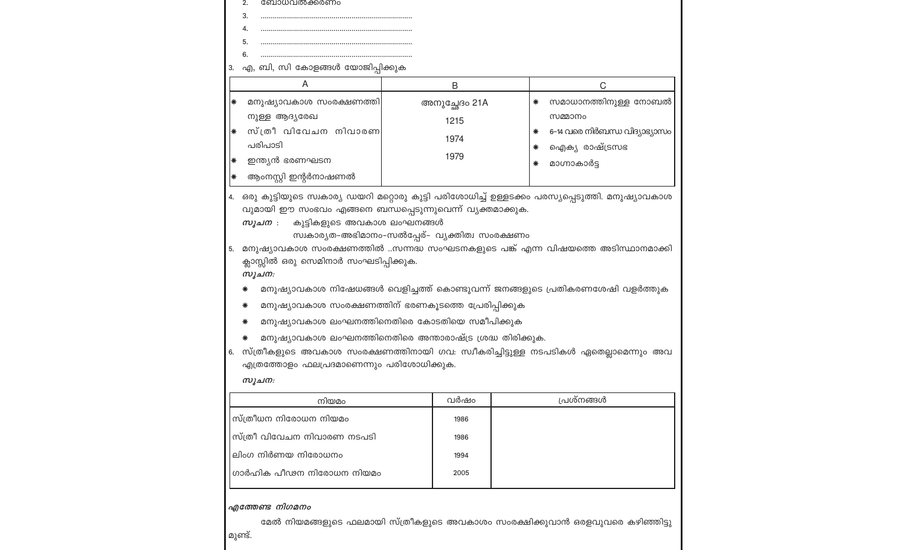|                    | 5.<br>6.                                                                                                                                                                                                                                                                                                                                                                                   |      |                                       |  |                                                                                                                        |  |  |  |  |
|--------------------|--------------------------------------------------------------------------------------------------------------------------------------------------------------------------------------------------------------------------------------------------------------------------------------------------------------------------------------------------------------------------------------------|------|---------------------------------------|--|------------------------------------------------------------------------------------------------------------------------|--|--|--|--|
| 3.                 | എ, ബി, സി കോളങ്ങൾ യോജിപ്പിക്കുക                                                                                                                                                                                                                                                                                                                                                            |      |                                       |  |                                                                                                                        |  |  |  |  |
| A                  |                                                                                                                                                                                                                                                                                                                                                                                            |      | B                                     |  | С                                                                                                                      |  |  |  |  |
| ∗<br>₩<br> ₩<br> ₩ | മനുഷ്യാവകാശ സംരക്ഷണത്തി<br>നുള്ള ആദ്യരേഖ<br>സ്ത്രീ വിവേചന നിവാരണ<br>പരിപാടി<br>ഇന്ത്യൻ ഭരണഘടന<br>ആംനസ്റ്റി ഇന്റർനാഷണൽ                                                                                                                                                                                                                                                                      |      | അനുച്ഛേദം 21A<br>1215<br>1974<br>1979 |  | സമാധാനത്തിനുള്ള നോബൽ<br>∗<br>സമ്മാനം<br>6-14 വരെ നിർബന്ധ വിദ്യാഭ്യാസം<br>∗<br>ഐക്യ രാഷ്ട്രസഭ<br>∗<br>മാഗ്നാകാർട്ട<br>∗ |  |  |  |  |
| 4.<br>5.           | ഒരു കുട്ടിയുടെ സ്വകാര്യ ഡയറി മറ്റൊരു കുട്ടി പരിശോധിച്ച് ഉള്ളടക്കം പരസ്യപ്പെടുത്തി. മനുഷ്യാവകാശ<br>വുമായി ഈ സംഭവം എങ്ങനെ ബന്ധപ്പെടുന്നുവെന്ന് വ്യക്തമാക്കുക.<br>കുട്ടികളുടെ അവകാശ ലംഘനങ്ങൾ<br>സൂചന :<br>സ്വകാര്യത-അഭിമാനം-സൽപ്പേര്- വ്യക്തിത്വ സംരക്ഷണം<br>മനുഷ്യാവകാശ സംരക്ഷണത്തിൽ സന്നദ്ധ സംഘടനകളുടെ പങ്ക് എന്ന വിഷയത്തെ അടിസ്ഥാനമാക്കി<br>ക്ലാസ്സിൽ ഒരു സെമിനാർ സംഘടിപ്പിക്കുക.<br>സൂചന: |      |                                       |  |                                                                                                                        |  |  |  |  |
|                    | മനുഷ്യാവകാശ നിഷേധങ്ങൾ വെളിച്ചത്ത് കൊണ്ടുവന്ന് ജനങ്ങളുടെ പ്രതികരണശേഷി വളർത്തുക<br>∗                                                                                                                                                                                                                                                                                                         |      |                                       |  |                                                                                                                        |  |  |  |  |
|                    | മനുഷ്യാവകാശ സംരക്ഷണത്തിന് ഭരണകൂടത്തെ പ്രേരിപ്പിക്കുക<br>∗                                                                                                                                                                                                                                                                                                                                  |      |                                       |  |                                                                                                                        |  |  |  |  |
|                    | മനുഷ്യാവകാശ ലംഘനത്തിനെതിരെ കോടതിയെ സമീപിക്കുക<br>∗                                                                                                                                                                                                                                                                                                                                         |      |                                       |  |                                                                                                                        |  |  |  |  |
| 6.                 | മനുഷ്യാവകാശ ലംഘനത്തിനെതിരെ അന്താരാഷ്ട്ര ശ്രദ്ധ തിരിക്കുക.<br>സ്ത്രീകളുടെ അവകാശ സംരക്ഷണത്തിനായി ഗവ: സ്വീകരിച്ചിട്ടുള്ള നടപടികൾ ഏതെല്ലാമെന്നും അവ<br>എത്രത്തോളം ഫലപ്രദമാണെന്നും പരിശോധിക്കുക.<br>സൂചന:                                                                                                                                                                                       |      |                                       |  |                                                                                                                        |  |  |  |  |
|                    | നിയമം                                                                                                                                                                                                                                                                                                                                                                                      |      | വർഷം                                  |  | പ്രശ്നങ്ങൾ                                                                                                             |  |  |  |  |
|                    | സ്ത്രീധന നിരോധന നിയമം                                                                                                                                                                                                                                                                                                                                                                      | 1986 |                                       |  |                                                                                                                        |  |  |  |  |
|                    | സ്ത്രീ വിവേചന നിവാരണ നടപടി                                                                                                                                                                                                                                                                                                                                                                 |      | 1986                                  |  |                                                                                                                        |  |  |  |  |
|                    | ലിംഗ നിർണയ നിരോധനം                                                                                                                                                                                                                                                                                                                                                                         |      | 1994                                  |  |                                                                                                                        |  |  |  |  |
|                    | ഗാർഹിക പീഢന നിരോധന നിയമം                                                                                                                                                                                                                                                                                                                                                                   |      | 2005                                  |  |                                                                                                                        |  |  |  |  |

### | എത്തേണ്ട നിഗമനം

2.

3.

 $\mathbf{A}$ 

ബോധവൽക്കരണം

മേൽ നിയമങ്ങളുടെ ഫലമായി സ്ത്രീകളുടെ അവകാശം സംരക്ഷിക്കുവാൻ ഒരളവുവരെ കഴിഞ്ഞിട്ടു മുണ്ട്.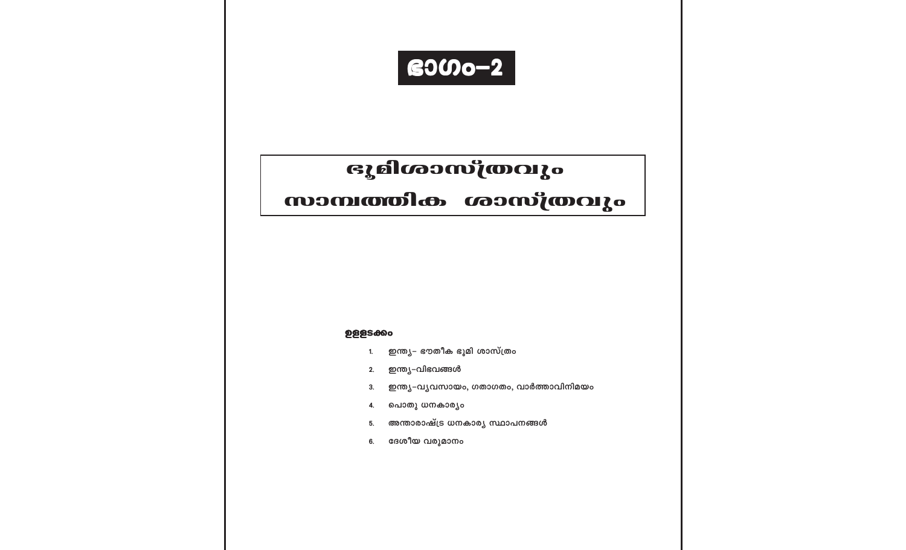

# ഭൂമിശാസ്ത്രവും

# സാമ്പത്തിക ശാസ്ത്രവും

#### **ഉളളടക്കം**

- ഇന്ത്യ– ഭൗതീക ഭൂമി ശാസ്ത്രം 1.
- ഇന്ത്യ-വിഭവങ്ങൾ  $2.$
- ഇന്ത്യ-വൃവസായം, ഗതാഗതം, വാർത്താവിനിമയം 3.
- പൊതു ധനകാര്യം  $\mathbf{4}$
- അന്താരാഷ്ട്ര ധനകാര്യ സ്ഥാപനങ്ങൾ 5.
- ദേശീയ വരുമാനം 6.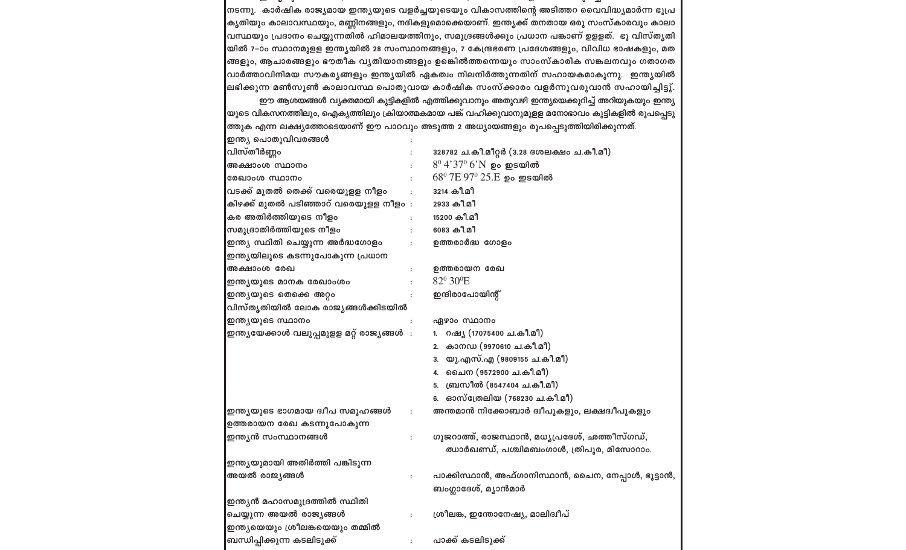|                                                                                                 |                      | ലഭിക്കുന്ന മൺസൂൺ കാലാവസ്ഥ പൊതുവായ കാർഷിക സംസ്ക്കാരം വളർന്നുവരുവാൻ സഹായിച്ചിട്ടു്. |  |  |  |  |
|-------------------------------------------------------------------------------------------------|----------------------|-----------------------------------------------------------------------------------|--|--|--|--|
| ഈ ആശയങ്ങൾ വ്യക്തമായി കുട്ടികളിൽ എത്തിക്കുവാനും അതുവഴി ഇന്ത്യയെക്കുറിച്ച് അറിയുകയും ഇന്ത്യ       |                      |                                                                                   |  |  |  |  |
| യുടെ വികസനത്തിലും, ഐക്യത്തിലും ക്രിയാത്മകമായ പങ്ക് വഹിക്കുവാനുമുളള മനോഭാവം കുട്ടികളിൽ രൂപപ്പെടു |                      |                                                                                   |  |  |  |  |
| ത്തുക എന്ന ലക്ഷ്യത്തോടെയാണ് ഈ പാഠവും അടുത്ത 2 അധ്യായങ്ങളും രൂപപ്പെടുത്തിയിരിക്കുന്നത്.          |                      |                                                                                   |  |  |  |  |
| ഇന്ത്യ പൊതുവിവരങ്ങൾ                                                                             |                      |                                                                                   |  |  |  |  |
| വിസ്തീർണ്ണം                                                                                     |                      | 328782 ച.കീ.മീറ്റർ (3.28 ദശലക്ഷം ച.കീ.മീ)                                         |  |  |  |  |
| അക്ഷാംശ സ്ഥാനം                                                                                  |                      | $8^{\rm 0}$ $4'37^{\rm 0}$ $6'$ N ഉം ഇടയിൽ                                        |  |  |  |  |
| രേഖാംശ സ്ഥാനം                                                                                   |                      | $68^{\rm o}$ $7E$ $97^{\rm o}$ $25.E$ ഉം ഇടയിൽ                                    |  |  |  |  |
| വടക്ക് മുതൽ തെക്ക് വരെയുളള നീളം                                                                 | $\cdot$              | 3214 കീ.മീ                                                                        |  |  |  |  |
| കിഴക്ക് മുതൽ പടിഞ്ഞാറ് വരെയുളള നീളം :                                                           |                      | 2933 കീ.മീ                                                                        |  |  |  |  |
| കര അതിർത്തിയുടെ ന <mark>ീ</mark> ളം                                                             |                      | 15200 കീ.മീ                                                                       |  |  |  |  |
| സമുദ്രാതിർത്തിയുടെ ന <mark>ീ</mark> ളം                                                          | $\ddot{\phantom{a}}$ | 6083 കീ.മീ                                                                        |  |  |  |  |
| ഇന്ത്യ സ്ഥിതി ചെയ്യുന്ന അർദ്ധഗോളം                                                               | $\ddot{\phantom{a}}$ | ഉത്തരാർദ്ധ ഗോളം                                                                   |  |  |  |  |
| ഇന്ത്യയിലൂടെ കടന്നുപോകുന്ന പ്രധാന                                                               |                      |                                                                                   |  |  |  |  |
| അക്ഷാംശ രേഖ                                                                                     | $\ddot{\phantom{a}}$ | ഉത്തരായന രേഖ                                                                      |  |  |  |  |
| ഇന്ത്യയുടെ മാനക രേഖാംശം                                                                         | $\ddot{\phantom{a}}$ | 82º 30°E                                                                          |  |  |  |  |
| ഇന്ത്യയുടെ തെക്കെ അറ്റം                                                                         | $\ddot{\phantom{a}}$ | ഇന്ദിരാപോയിന്റ്                                                                   |  |  |  |  |
| വിസ്തൃതിയിൽ ലോക രാജ്യങ്ങൾക്കിടയിൽ                                                               |                      |                                                                                   |  |  |  |  |
| ഇന്ത്യയുടെ സ്ഥാനം                                                                               | $\colon$             | ഏഴാം സ്ഥാനം                                                                       |  |  |  |  |
| ഇന്ത്യയേക്കാൾ വലുപ്പമുളള മറ്റ് രാജ്യങ്ങൾ  :                                                     |                      | 1. റഷ്യ (17075400 ച.കീ.മീ)                                                        |  |  |  |  |
|                                                                                                 |                      | 2. കാനഡ (9970610 ച.കീ.മീ)                                                         |  |  |  |  |
|                                                                                                 |                      | 3. യു.എസ്.എ (9809155 ച.കീ.മീ)                                                     |  |  |  |  |
|                                                                                                 |                      | 4. ചൈന (9572900 ച.കീ.മീ)                                                          |  |  |  |  |
|                                                                                                 |                      | 5. ബ്രസീൽ (8547404 ച.കീ.മീ)                                                       |  |  |  |  |
|                                                                                                 |                      | 6. ഓസ്ത്രേലിയ (768230 ച.കീ.മീ)                                                    |  |  |  |  |
| ഇന്ത്യയുടെ ഭാഗമായ ദ്വീപ സമൂഹങ്ങൾ                                                                | $\ddot{\phantom{a}}$ | അന്തമാൻ നിക്കോബാർ ദ്വീപുകളും, ലക്ഷദ്വീപുകളും                                      |  |  |  |  |
| ഉത്തരായന രേഖ കടന്നുപോകുന്ന                                                                      |                      |                                                                                   |  |  |  |  |
| ഇന്ത്യൻ സംസ്ഥാനങ് <mark>ങ</mark> ൾ                                                              | $\ddot{\phantom{a}}$ | ഗുജറാത്ത്, രാജസ്ഥാൻ, മധ്യപ്രദേശ്, ഛത്തീസ്ഗഡ്,                                     |  |  |  |  |
|                                                                                                 |                      | ഝാർഖണ്ഡ്, പശ്ചിമബംഗാൾ, ത്രിപുര, മിസോറാം.                                          |  |  |  |  |
| ഇന്ത്യയുമായി അതിർത്തി പങ്കിടുന്ന                                                                |                      |                                                                                   |  |  |  |  |
| അയൽ രാജ്യങ്ങൾ                                                                                   | $\ddot{\cdot}$       | പാക്കിസ്ഥാൻ, അഫ്ഗാനിസ്ഥാൻ, ചൈന, നേപ്പാൾ, ഭൂട്ടാൻ,                                 |  |  |  |  |
|                                                                                                 |                      | ബംഗ്ലാദേശ്, മ്യാൻമാർ                                                              |  |  |  |  |
| ഇന്ത്യൻ മഹാസമുദ്രത്തിൽ സ്ഥിതി                                                                   |                      |                                                                                   |  |  |  |  |
| ചെയ്യുന്ന അയൽ രാജ്യ <mark>ങ്ങൾ</mark>                                                           | $\ddot{\cdot}$       | ശ്രീലങ്ക, ഇന്തോനേഷ്യ, മാലിദ്വീപ്                                                  |  |  |  |  |
| ഇന്ത്യയെയും ശ്രീലങ്കയെയും തമ്മിൽ                                                                |                      |                                                                                   |  |  |  |  |
| ബന്ധിപ്പിക്കുന്ന കടലിടു <mark>ക്ക്</mark>                                                       | $\ddot{\phantom{a}}$ | പാക്ക് കടലിടുക്ക്                                                                 |  |  |  |  |

|<br>നടന്നു. കാർഷിക രാജ്യമായ ഇന്ത്യയുടെ വളർച്ചയുടെയും വികാസത്തിന്റെ അടിത്തറ വൈവിദ്ധ്യമാർന്ന ഭൂപ്ര |<br>കൃതിയും കാലാവസ്ഥയും, മണ്ണിനങ്ങളും, നദികളുമൊക്കെയാണ്. ഇന്ത്യക്ക് തനതായ ഒരു സംസ്കാരവും കാലാ വസ്ഥയും പ്രദാനം ചെയ്യുന്നതിൽ ഹിമാലയത്തിനും, സമുദ്രങ്ങൾക്കും പ്രധാന പങ്കാണ് ഉളളത്. ഭൂ വിസ്തൃതി യിൽ 7-ാം സ്ഥാനമുളള ഇന്ത്യയിൽ 28 സംസ്ഥാനങ്ങളും, 7 കേന്ദ്രഭരണ പ്രദേശങ്ങളും, വിവിധ ഭാഷകളും, മത |ങ്ങളും, ആചാരങ്ങളും ഭൗതീക വൃതിയാനങ്ങളും ഉങ്കിൽത്തന്നെയും സാംസ്കാരിക സങ്കലനവും ഗതാഗത |വാർത്താവിനിമയ സൗകര്യങ്ങളും ഇന്ത്യയിൽ ഏകത്വം നിലനിർത്തുന്നതിന് സഹായകമാകുന്നു. ഇന്ത്യയിൽ |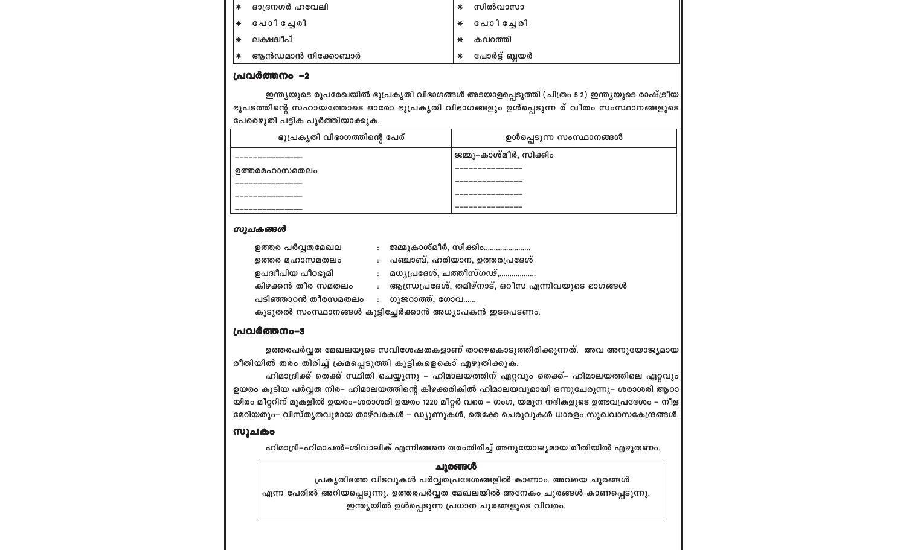പ്രകൃതിദത്ത വിടവുകൾ പർവ്വതപ്രദേശങ്ങളിൽ കാണാം. അവയെ ചുരങ്ങൾ എന്ന പേരിൽ അറിയപ്പെടുന്നു. ഉത്തരപർവ്വത മേഖലയിൽ അനേകം ചുരങ്ങൾ കാണപ്പെടുന്നു. ഇന്ത്യയിൽ ഉൾപ്പെടുന്ന പ്രധാന ചുരങ്ങളുടെ വിവരം.

#### ചുരങ്ങൾ

ഹിമാദ്രി–ഹിമാചൽ–ശിവാലിക് എന്നിങ്ങനെ തരംതിരിച്ച് അനുയോജ്യമായ രീതിയിൽ എഴുതണം.

#### സൂചകം

ഹിമാദ്രിക്ക് തെക്ക് സ്ഥിതി ചെയ്യുന്നു – ഹിമാലയത്തിന് ഏറ്റവും തെക്ക്– ഹിമാലയത്തിലെ ഏറ്റവും ഉയരം കൂടിയ പർവ്വത നിര– ഹിമാലയത്തിന്റെ കിഴക്കരികിൽ ഹിമാലയവുമായി ഒന്നുചേരുന്നു– ശരാശരി ആറാ യിരം മീറ്ററിന് മുകളിൽ ഉയരം-ശരാശരി ഉയരം 1220 മീറ്റർ വരെ - ഗംഗ, യമുന നദികളുടെ ഉത്ഭവപ്രദേശം - നീള മേറിയതും– വിസ്തൃതവുമായ താഴ്വരകൾ – ഡ്യൂണുകൾ, തെക്കേ ചെരുവുകൾ ധാരളം സുഖവാസകേന്ദ്രങ്ങൾ.

ഉത്തരപർവ്വത മേഖലയുടെ സവിശേഷതകളാണ് താഴെകൊടുത്തിരിക്കുന്നത്. അവ അനുയോജ്യമായ രീതിയിൽ തരം തിരിച്ച് ക്രമപ്പെടുത്തി കുട്ടികളെകൊ് എഴുതിക്കുക.

#### പ്രവർത്തനം-3

ഉപദ്വീപിയ പീഠഭൂമി

: ഗുജറാത്ത്, ഗോവ...... പടിഞ്ഞാറൻ തീരസമതലം കൂടുതൽ സംസ്ഥാനങ്ങൾ കൂട്ടിച്ചേർക്കാൻ അധ്യാപകൻ ഇടപെടണം.

- : ആന്ധ്രപ്രദേശ്, തമിഴ്നാട്, ഒറീസ എന്നിവയുടെ ഭാഗങ്ങൾ കിഴക്കൻ തീര സമതലം
- : മധൃപ്രദേശ്, ചത്തീസ്ഗഢ്,...
- : പഞ്ചാബ്, ഹരിയാന, ഉത്തരപ്രദേശ് ഉത്തര മഹാസമതലം
- : ജമ്മുകാശ്മീർ, സിക്കിം...................... ഉത്തര പർവ്വതമേഖല

#### സൂചകങ്ങൾ

| -<br>- 8                     |                         |
|------------------------------|-------------------------|
| ഭൂപ്രകൃതി വിഭാഗത്തിന്റെ പേര് | ഉൾപ്പെടുന്ന സംസ്ഥാനങ്ങൾ |
|                              | ജമ്മു–കാശ്മീർ, സിക്കിം  |
| ഉത്തരമഹാസമതലം                |                         |
|                              |                         |
|                              |                         |
|                              |                         |

ഭൂപടത്തിന്റെ സഹായത്തോടെ ഓരോ ഭൂപ്രകൃതി വിഭാഗങ്ങളും ഉൾപ്പെടുന്ന ര് വീതം സംസ്ഥാനങ്ങളുടെ

പ്രവർത്തനം –2

പേരൌുതി പട്ടിക പൂർത്തിയാക്കുക.

| േ ദാദ്രനഗർ ഹവേലി | ∗ | സിൽവാസാ       |
|------------------|---|---------------|
| ← പോിച്ചേരി      |   | പോിച്ചേരി     |
| ലക്ഷദ്വീപ്       |   | കവറത്തി       |
| ആൻഡമാൻ നിക്കോബാർ |   | പോർട്ട് ബ്ലയർ |

ഇന്ത്യയുടെ രൂപരേഖയിൽ ഭൂപ്രകൃതി വിഭാഗങ്ങൾ അടയാളപ്പെടുത്തി (ചിത്രം 5.2) ഇന്ത്യയുടെ രാഷ്ട്രീയ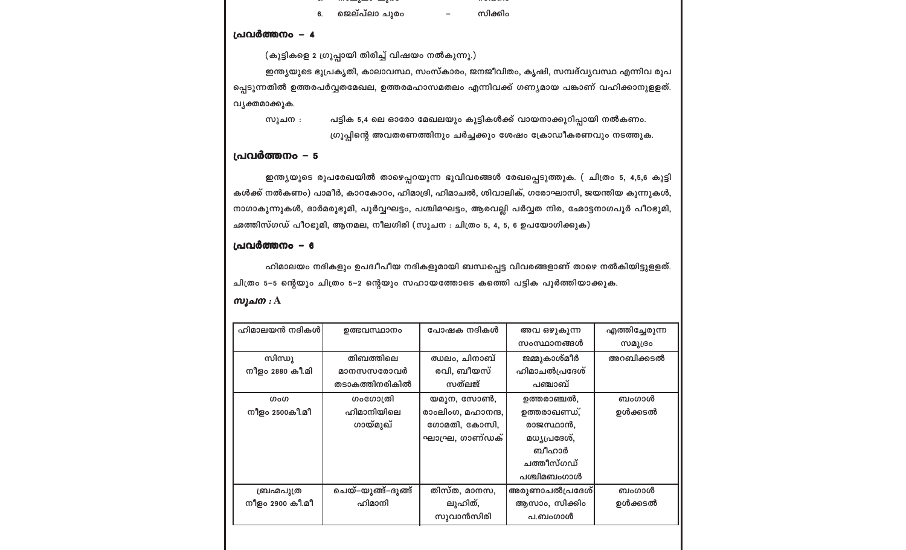|               | ---------- |
|---------------|------------|
| ജെല്പ്ലാ ചുരം | സിക്കിം    |

ജെലവലാ ചുരാ

പ്രവർത്തനം – 4

(കുട്ടികളെ 2 ഗ്രൂപ്പായി തിരിച്ച് വിഷയം നൽകുന്നു.)

ഇന്ത്യയുടെ ഭൂപ്രകൃതി, കാലാവസ്ഥ, സംസ്കാരം, ജനജീവിതം, കൃഷി, സമ്പദ്വ്യവസ്ഥ എന്നിവ രൂപ പ്പെടുന്നതിൽ ഉത്തരപർവ്വതമേഖല, ഉത്തരമഹാസമതലം എന്നിവക്ക് ഗണ്യമായ പങ്കാണ് വഹിക്കാനുളളത്. വൃക്തമാക്കുക.

പട്ടിക 5,4 ലെ ഓരോ മേഖലയും കുട്ടികൾക്ക് വായനാക്കുറിപ്പായി നൽകണം. സൂചന $:$ ഗ്രൂപ്പിന്റെ അവതരണത്തിനും ചർച്ചക്കും ശേഷം ക്രോഡീകരണവും നടത്തുക.

#### പ്രവർത്തനം - 5

ഇന്ത്യയുടെ രൂപരേഖയിൽ താഴെപ്പറയുന്ന ഭൂവിവരങ്ങൾ രേഖപ്പെടുത്തുക. ( ചിത്രം 5, 4,5,6 കുട്ടി കൾക്ക് നൽകണം) പാമീർ, കാറകോറം, ഹിമാദ്രി, ഹിമാചൽ, ശിവാലിക്, ഗരോഘാസി, ജയന്തിയ കുന്നുകൾ, നാഗാകുന്നുകൾ, ദാർമരുഭൂമി, പൂർവ്വഘട്ടം, പശ്ചിമഘട്ടം, ആരവല്ലി പർവ്വത നിര, ഛോട്ടനാഗപൂർ പീഠഭൂമി, ഛത്തിസ്ഗഡ് പീഠഭൂമി, ആനമല, നീലഗിരി (സൂചന : ചിത്രം 5, 4, 5, 6 ഉപയോഗിക്കുക)

#### പ്രവർത്തനം - 6

ഹിമാലയം നദികളും ഉപദ്വീപീയ നദികളുമായി ബന്ധപ്പെട്ട വിവരങ്ങളാണ് താഴെ നൽകിയിട്ടുളളത്. ചിത്രം 5–5 ന്റെയും ചിത്രം 5–2 ന്റെയും സഹായത്തോടെ കത്തെി പട്ടിക പൂർത്തിയാക്കുക.

| ഹിമാലയൻ നദികൾ   | ഉത്ഭവസ്ഥാനം        | പോഷക നദികൾ        | അവ ഒഴുകുന്ന    | എത്തിച്ചേരുന്ന |
|-----------------|--------------------|-------------------|----------------|----------------|
|                 |                    |                   | സംസ്ഥാനങ്ങൾ    | സമുദ്രം        |
| സിന്ധു          | തിബത്തിലെ          | ഝലം, ചിനാബ്       | ജമ്മുകാശ്മീർ   | അറബിക്കടൽ      |
| നീളം 2880 കീ.മി | മാനസസരോവർ          | രവി, ബീയസ്        | ഹിമാചൽപ്രദേശ്  |                |
|                 | തടാകത്തിനരികിൽ     | സത്ലജ്            | പഞ്ചാബ്        |                |
| ഗംഗ             | ഗംഗോത്രി           | യമുന, സോൺ,        | ഉത്തരാഞ്ചൽ,    | ബംഗാൾ          |
| നീളം 2500കീ.മീ  | ഹിമാനിയിലെ         | രാംലിംഗ, മഹാനന്ദ, | ഉത്തരാഖണ്ഡ്,   | ഉൾക്കടൽ        |
|                 | ഗായ്മുഖ്           | ഗോമതി, കോസി,      | രാജസ്ഥാൻ,      |                |
|                 |                    | ഘാഘ്ര, ഗാണ്ഡക്    | മധ്യപ്രദേശ്,   |                |
|                 |                    |                   | ബീഹാർ          |                |
|                 |                    |                   | ചത്തീസ്ഗഡ്     |                |
|                 |                    |                   | പശ്ചിമബംഗാൾ    |                |
| ബ്രഹ്മപുത്ര     | ചെയ്–യുങ്ങ്–ദുങ്ങ് | തിസ്ത, മാനസ,      | അരുണാചൽപ്രദേശ് | ബംഗാൾ          |
| നീളം 2900 കീ.മീ | ഹിമാനി             | ലുഹിത്,           | ആസാം, സിക്കിം  | ഉൾക്കടൽ        |
|                 |                    | സുവാൻസിരി         | പ.ബംഗാൾ        |                |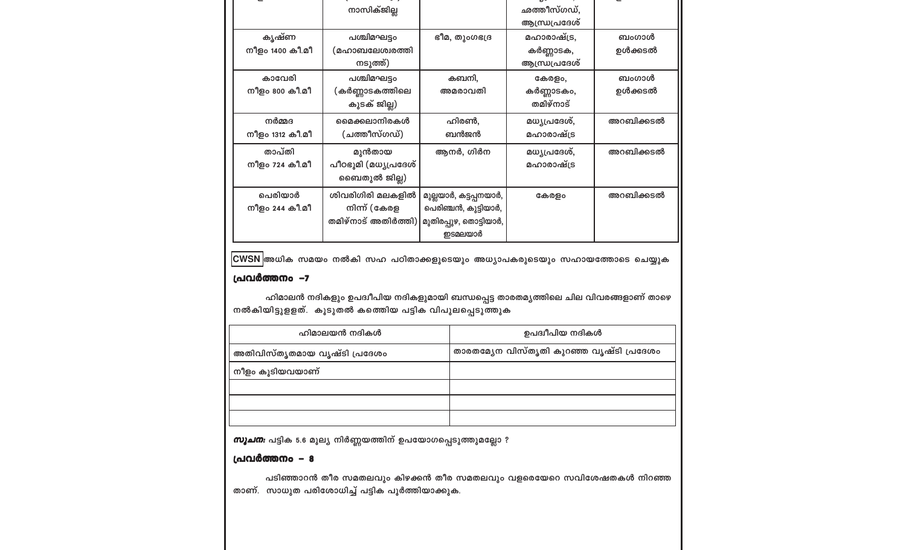|                 | നാസിക്ജില്ല             |                        | ഛത്തീസ്ഗഡ്,   |           |
|-----------------|-------------------------|------------------------|---------------|-----------|
|                 |                         |                        | ആന്ധ്രപ്രദേശ് |           |
| കൃഷ്ണ           | പശ്ചിമഘട്ടം             | ഭീമ, തുംഗഭദ്ര          | മഹാരാഷ്ട്ര,   | ബംഗാൾ     |
| നീളം 1400 കീ.മീ | (മഹാബലേശ്വരത്ത <u>ി</u> |                        | കർണ്ണാടക,     | ഉൾക്കടൽ   |
|                 | നടുത്ത്)                |                        | ആന്ധ്രപ്രദേശ് |           |
| കാവേരി          | പശ്ചിമഘട്ടം             | കബനി,                  | കേരളം,        | ബംഗാൾ     |
| നീളം 800 കീ.മീ  | (കർണ്ണാടകത്തിലെ         | അമരാവതി                | കർണ്ണാടകം,    | ഉൾക്കടൽ   |
|                 | കുടക് ജില്ല)            |                        | തമിഴ്നാട്     |           |
| നർമ്മദ          | മൈക്കലാനിരകൾ            | ഹിരൺ.                  | മധ്യപ്രദേശ്,  | അറബിക്കടൽ |
| നീളം 1312 കീ.മീ | (ചത്തീസ്ഗഡ്)            | ബൻജൻ                   | മഹാരാഷ്ട്ര    |           |
| താപ്തി          | മുൻതായ                  | ആനർ, ഗിർന              | മധ്യപ്രദേശ്,  | അറബിക്കടൽ |
| നീളം 724 കീ.മീ  | പീഠഭൂമി (മധ്യപ്രദേശ്    |                        | മഹാരാഷ്ട്ര    |           |
|                 | ബൈതുൽ ജില്ല)            |                        |               |           |
| പെരിയാർ         | ശിവരിഗിരി മലകളിൽ        | മുല്ലയാർ, കട്ടപ്പനയാർ, | കേരളം         | അറബിക്കടൽ |
| നീളം 244 കീ.മീ  | നിന്ന് (കേരള            | പെരിഞ്ചൻ, കുട്ടിയാർ,   |               |           |
|                 | തമിഴ്നാട് അതിർത്തി)     | മുതിരപ്പുഴ, തൊട്ടിയാർ, |               |           |
|                 |                         | ഇടമലയാർ                |               |           |

CWSN അധിക സമയം നൽകി സഹ പഠിതാക്കളുടെയും അധ്യാപകരുടെയും സഹായത്തോടെ ചെയ്യുക

#### പ്രവർത്തനം -7

ഹിമാലൻ നദികളും ഉപദ്വീപിയ നദികളുമായി ബന്ധപ്പെട്ട താരതമൃത്തിലെ ചില വിവരങ്ങളാണ് താഴെ നൽകിയിട്ടുളളത്. കൂടുതൽ കത്തിെയ പട്ടിക വിപുലപ്പെടുത്തുക

| ഹിമാലയൻ നദികൾ                | ഉപദ്വീപിയ നദികൾ                          |
|------------------------------|------------------------------------------|
| അതിവിസ്തൃതമായ വൃഷ്ടി പ്രദേശം | താരതമ്യേന വിസ്തൃതി കുറഞ്ഞ വൃഷ്ടി പ്രദേശം |
| നീളം കൂടിയവയാണ്              |                                          |
|                              |                                          |
|                              |                                          |
|                              |                                          |

*സൂചന:* പട്ടിക 5.6 മൂല്യ നിർണ്ണയത്തിന് ഉപയോഗപ്പെടുത്തുമല്ലോ ?

#### പ്രവർത്തനം - 8

പടിഞ്ഞാറൻ തീര സമതലവും കിഴക്കൻ തീര സമതലവും വളരെയേറെ സവിശേഷതകൾ നിറഞ്ഞ താണ്. സാധുത പരിശോധിച്ച് പട്ടിക പൂർത്തിയാക്കുക.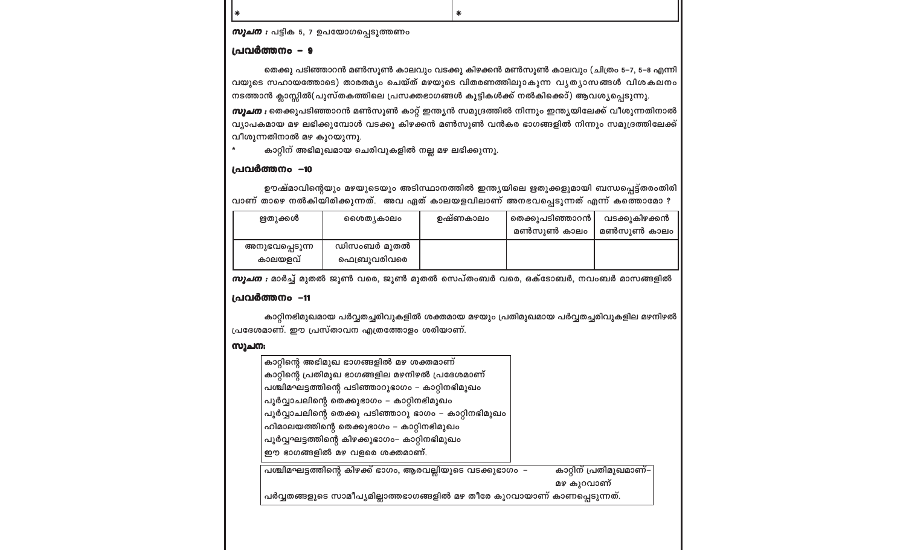| സൂചന:                                                                     |                        |
|---------------------------------------------------------------------------|------------------------|
| കാറ്റിന്റെ അഭിമുഖ ഭാഗങ്ങളിൽ മഴ ശക്തമാണ്                                   |                        |
| കാറ്റിന്റെ പ്രതിമുഖ ഭാഗങ്ങളില മഴനിഴൽ പ്രദേശമാണ്                           |                        |
| പശ്ചിമഘട്ടത്തിന്റെ പടിഞ്ഞാറുഭാഗം - കാറ്റിനഭിമുഖം                          |                        |
| പൂർവ്വാചലിന്റെ തെക്കുഭാഗം – കാറ്റിനഭിമുഖം                                 |                        |
| പൂർവ്വാചലിന്റെ തെക്കു പടിഞ്ഞാറു ഭാഗം – കാറ്റിനഭിമുഖം                      |                        |
| ഹിമാലയത്തിന്റെ തെക്കുഭാഗം – കാറ്റിനഭിമുഖം                                 |                        |
| പൂർവ്വഘട്ടത്തിന്റെ കിഴക്കുഭാഗം– കാറ്റിനഭിമുഖം                             |                        |
| ഈ ഭാഗങ്ങളിൽ മഴ വളരെ ശക്തമാണ്.                                             |                        |
| പശ്ചിമഘട്ടത്തിന്റെ കിഴക്ക് ഭാഗം, ആരവല്ലിയുടെ വടക്കുഭാഗം –                 | കാറ്റിന് പ്രതിമുഖമാണ്– |
|                                                                           | മഴ കുറവാണ്             |
| പർവ്വതങ്ങളുടെ സാമീപ്യമില്ലാത്തഭാഗങ്ങളിൽ മഴ തീരേ കുറവായാണ് കാണപ്പെടുന്നത്. |                        |
|                                                                           |                        |

കാറ്റിനഭിമുഖമായ പർവ്വതച്ചരിവുകളിൽ ശക്തമായ മഴയും പ്രതിമുഖമായ പർവ്വതച്ചരിവുകളില മഴനിഴൽ പ്രദേശമാണ്. ഈ പ്രസ്താവന എത്രത്തോളം ശരിയാണ്.

### പ്രവർത്തനം -11

*സൂചന* : മാർച്ച് മുതൽ ജൂൺ വരെ, ജൂൺ മുതൽ സെപ്തംബർ വരെ, ഒക്ടോബർ, നവംബർ മാസങ്ങളിൽ

## പ്രവർത്തനം -10

ഋതുക്കൾ

അനുഭവപ്പെടുന്ന കാലയളവ്

 $\ast$ കാറ്റിന് അഭിമുഖമായ ചെരിവുകളിൽ നല്ല മഴ ലഭിക്കുന്നു.

വീശുന്നതിനാൽ മഴ കുറയുന്നു.

ശൈതൃകാലം

ഡിസംബർ മുതൽ

ഫെബ്രുവരിവരെ

*സൂചന* : തെക്കുപടിഞ്ഞാറൻ മൺസൂൺ കാറ്റ് ഇന്ത്യൻ സമുദ്രത്തിൽ നിന്നും ഇന്ത്യയിലേക്ക് വീശുന്നതിനാൽ വ്യാപകമായ മഴ ലഭിക്കുമ്പോൾ വടക്കു കിഴക്കൻ മൺസൂൺ വൻകര ഭാഗങ്ങളിൽ നിന്നും സമുദ്രത്തിലേക്ക്

വാണ് താഴെ നൽകിയിരിക്കുന്നത്. അവ ഏത് കാലയളവിലാണ് അനഭവപ്പെടുന്നത് എന്ന് കത്തൊമോ ?

ഊഷ്മാവിന്റെയും മഴയുടെയും അടിസ്ഥാനത്തിൽ ഇന്ത്യയിലെ ഋതുക്കളുമായി ബന്ധപ്പെട്ട്തരംതിരി

ഉഷ്ണകാലം

തെക്കുപടിഞ്ഞാറൻ

മൺസുൺ കാലം

വടക്കുകിഴക്കൻ

മൺസുൺ കാലം

തെക്കു പടിഞ്ഞാറൻ മൺസൂൺ കാലവും വടക്കു കിഴക്കൻ മൺസൂൺ കാലവും (ചിത്രം 5–7, 5–8 എന്നി വയുടെ സഹായത്തോടെ) താരതമ്യം ചെയ്ത് മഴയുടെ വിതരണത്തിലുാകുന്ന വ്യത്യാസങ്ങൾ വിശകലനം നടത്താൻ ക്ലാസ്സിൽ(പുസ്തകത്തിലെ പ്രസക്തഭാഗങ്ങൾ കുട്ടികൾക്ക് നൽകിക്കൊ്) ആവശ്യപ്പെടുന്നു.

#### പ്രവർത്തനം – 9

|∗

സൂചന : പട്ടിക 5, 7 ഉപയോഗപ്പെടുത്തണം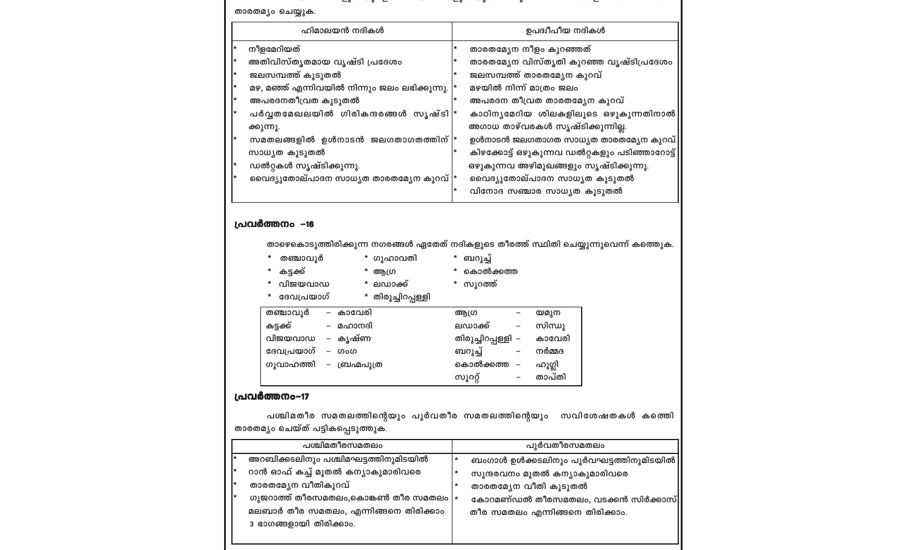#### കിഴക്കോട്ട് ഒഴുകുന്നവ ഡൽറ്റകളും പടിഞ്ഞാറോട്ട്| സാധ്യത കൂടുതൽ ഡൽറ്റകൾ സൃഷ്ടിക്കുന്നു. ഒഴുകുന്നവ അഴിമുഖങ്ങളും സൃഷ്ടിക്കുന്നു. വൈദ്യുതോല്പാദന സാധൃത താരതമ്യേന കുറവ്  $\ket*$ വൈദ്യുതോല്പാദന സാധൃത കൂടുതൽ വിനോദ സഞ്ചാര സാധ്യത കൂടുതൽ തഞ്ചാവൂർ \* ഗുഹാവതി \* ബറൂച്ച്

### പ്രവർത്തനം -16

താരതമൃം ചെയ്യുക.

നീളമേറിയത്

ക്കുന്നു.

ജലസമ്പത്ത് കൂടുതൽ

അപരദനതീവ്രത കൂടുതൽ

താഴെകൊടുത്തിരിക്കുന്ന നഗരങ്ങൾ ഏതേത് നദികളുടെ തീരത്ത് സ്ഥിതി ചെയ്യുന്നുവെന്ന് കത്തെുക.

ഉപദ്വീപീയ നദികൾ

താരതമ്യേന വിസ്തൃതി കുറഞ്ഞ വൃഷ്ടിപ്രദേശം

കാഠിനൃമേറിയ ശിലകളിലൂടെ ഒഴുകുന്നതിനാൽ $\mid$ 

ഉൾനാടൻ ജലഗതാഗത സാധ്യത താരതമ്യേന കുറവ് $\vert$ 

താരതമ്യേന നീളം കുറഞ്ഞത്

മഴയിൽ നിന്ന് മാത്രം ജലം

ജലസമ്പത്ത് താരതമ്യേന കുറവ്

അപരദന തീവ്രത താരതമ്യേന കുറവ്

അഗാധ താഴ്വരകൾ സൃഷ്ടിക്കുന്നില്ല.

കട്ടക്ക് \* ആഗ്ര

ഹിമാലയൻ നദികൾ

മഴ, മഞ്ഞ് എന്നിവയിൽ നിന്നും ജലം ലഭിക്കുന്നു.

പർവ്വതമേഖലയിൽ ഗിരികന്ദരങ്ങൾ സ്യഷ്ടി $\vert \cdot \vert$ 

സമതലങ്ങളിൽ ഉൾനാടൻ ജലഗതാഗതത്തിന് $|$ 

അതിവിസ്തൃതമായ വൃഷ്ടി പ്രദേശം

- 
- \* വിജയവാഡ
- \* കൊൽക്കത്ത \* സൂറത്ത്
	- \* ലഡാക്ക്
- \* ദേവപ്രയാഗ് \* തിരുച്ചിറപ്പള്ളി

|            |                                 | — ام ⊿ه |                    |                          |        |
|------------|---------------------------------|---------|--------------------|--------------------------|--------|
| തഞ്ചാവൂർ   | – കാവേരി                        |         | അഗ്ര               |                          | യമുന   |
| കട്ടക്ക്   | മഹാനദി                          |         | ലഡാക്ക്            | $\overline{\phantom{a}}$ | സിന്ധു |
| വിജയവാഡ    | – കൃഷ്ണ                         |         | തിരുച്ചിറപ്പള്ളി – |                          | കാവേരി |
| ദേവപ്രയാഗ് | ഗംഗ<br>$\overline{\phantom{0}}$ |         | ബറൂച്ച്            |                          | നർമ്മദ |
| ഗൂവാഹത്തി  | - ബ്രഹ്മപുത്ര                   |         | കൊൽക്കത്ത          |                          | ഹൂഗ്ലി |
|            |                                 |         | ကျွဂဂ္ဂိ           |                          | താപ്തി |

### പ്രവർത്തനം-17

|                                   |  | പശ്ചിമതീര സമതലത്തിന്റെയും പൂർവതീര സമതലത്തിന്റെയും  സവിശേഷതകൾ കത്തെി |  |
|-----------------------------------|--|---------------------------------------------------------------------|--|
| താരതമൃം ചെയ്ത് പട്ടികപ്പെടുത്തുക. |  |                                                                     |  |

|   | പശ്ചിമതീരസമതലം                                           |        | പുർവതീരസമതലം                           |
|---|----------------------------------------------------------|--------|----------------------------------------|
|   | അറബിക്കടലിനും പശ്ചിമഘട്ടത്തിനുമിടയിൽ                     | $\ast$ | ബംഗാൾ ഉൾക്കടലിനും പൂർവഘട്ടത്തിനുമിടയിൽ |
| * | റാൻ ഓഫ് കച്ച് മുതൽ കന്യാകുമാരിവരെ                        | $\ast$ | സുന്ദരവനം മുതൽ കന്യാകുമാരിവരെ          |
|   | താരതമ്യേന വീതികുറവ്                                      | $\ast$ | താരതമ്യേന വീതി കൂടുതൽ                  |
| * | ഗുജറാത്ത് തീരസമതലം,കൊങ്കൺ തീര സമതലം $\vert \ast \rangle$ |        | കോറമണ്ഡൽ തീരസമതലം, വടക്കൻ സിർക്കാസ്    |
|   | മലബാർ തീര സമതലം, എന്നിങ്ങനെ തിരിക്കാം                    |        | തീര സമതലം എന്നിങ്ങനെ തിരിക്കാം.        |
|   | 3 ഭാഗങ്ങളായി തിരിക്കാം.                                  |        |                                        |
|   |                                                          |        |                                        |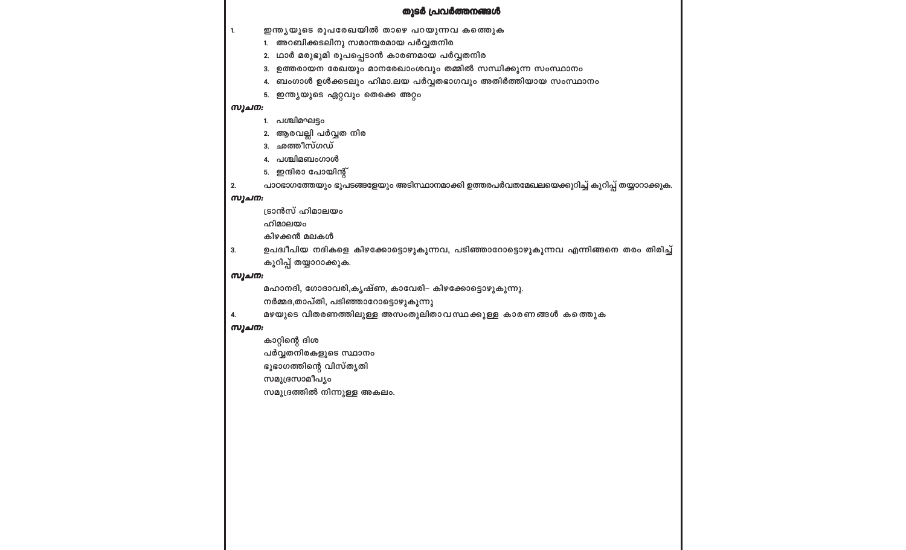പാഠഭാഗത്തേയും ഭൂപടങ്ങളേയും അടിസ്ഥാനമാക്കി ഉത്തരപർവതമേഖലയെക്കുറിച്ച് കുറിപ്പ് തയ്യാറാക്കുക.

ഉപദ്വീപിയ നദികളെ കിഴക്കോട്ടൊഴുകുന്നവ, പടിഞ്ഞാറോട്ടൊഴുകുന്നവ എന്നിങ്ങനെ തരം തിരിച്ച്

മഴയുടെ വിതരണത്തിലുള്ള അസംതുലിതാവസ്ഥക്കുള്ള കാരണങ്ങൾ കത്തെുക

#### തുടർ പ്രവർത്തനങ്ങൾ

# 2. ഥാർ മരുഭൂമി രൂപപ്പെടാൻ കാരണമായ പർവ്വതനിര 3. ഉത്തരായന രേഖയും മാനരേഖാംശവും തമ്മിൽ സന്ധിക്കുന്ന സംസ്ഥാനം 1. പശ്ചിമഘട്ടം 2. ആരവല്ലി പർവ്വത നിര

മഹാനദി, ഗോദാവരി,കൃഷ്ണ, കാവേരി– കിഴക്കോട്ടൊഴുകുന്നു.

നർമ്മദ,താപ്തി, പടിഞ്ഞാറോട്ടൊഴുകുന്നു

#### സൂചന:

 $2.$ 

 $3.$ 

4.

സൂചന:

സൂചന:

സൂചന:

 $1.$ 

5. ഇന്ത്യയുടെ ഏറ്റവും തെക്കെ അറ്റം

3. ഛത്തീസ്ഗഡ് 4. പശ്ചിമബംഗാൾ 5. ഇന്ദിരാ പോയിന്റ്

ട്രാൻസ് ഹിമാലയം

കിഴക്കൻ മലകൾ

കാറ്റിന്റെ ദിശ

സമുദ്രസാമീപൃം

കുറിപ്പ് തയ്യാറാക്കുക.

പർവ്വതനിരകളുടെ സ്ഥാനം ഭൂഭാഗത്തിന്റെ വിസ്തൃതി

സമുദ്രത്തിൽ നിന്നുള്ള അകലം.

ഹിമാലയം

- 4. ബംഗാൾ ഉൾക്കടലും ഹിമാ.ലയ പർവ്വതഭാഗവും അതിർത്തിയായ സംസ്ഥാനം
- 
- 
- 1. അറബിക്കടലിനു സമാന്തരമായ പർവ്വതനിര

#### ഇന്ത്യയുടെ രൂപരേഖയിൽ താഴെ പറയുന്നവ കത്തെുക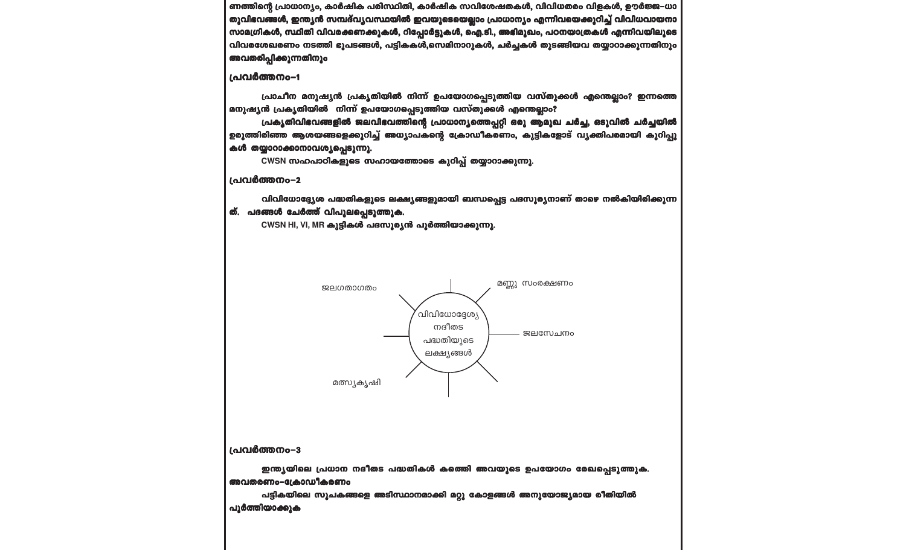പൂർത്തിയാക്കുക

അവതരണം-ക്രോഡീകരണം പട്ടികയിലെ സൂചകങ്ങളെ അടിസ്ഥാനമാക്കി മറ്റു കോളങ്ങൾ അനുയോജ്യമായ രീതിയിൽ

ഇന്ത്യയിലെ പ്രധാന നദീതട പദ്ധതികൾ കത്തിെ അവയുടെ ഉപയോഗം രേഖപ്പെടുത്തുക.

പ്രവർത്തനം-3



CWSN HI, VI, MR കൂട്ടികൾ പദസൂര്യൻ പൂർത്തിയാക്കുന്നു.

ത്. പദങ്ങൾ ചേർത്ത് വിപുലപ്പെടുത്തുക.

വിവിധോദ്ദ്യേശ പദ്ധതികളുടെ ലക്ഷ്യങ്ങളുമായി ബന്ധപ്പെട്ട പദസൂര്യനാണ് താഴെ നൽകിയിരിക്കുന്ന

പ്രവർത്തനം-2

പ്രവർത്തനം-1

CWSN സഹപാഠികളുടെ സഹായത്തോടെ കുറിപ്പ് തയ്യാറാക്കുന്നു.

പ്രകൃതിവിഭവങ്ങളിൽ ജലവിഭവത്തിന്റെ പ്രാധാനൃത്തെപ്പറ്റി ഒരു ആമുഖ ചർച്ച, ഒടുവിൽ ചർച്ചയിൽ ഉരുത്തിരിഞ്ഞ ആശയങ്ങളെക്കുറിച്ച് അധ്യാപകന്റെ ക്രോഡീകരണം, കൂട്ടികളോട് വൃക്തിപരമായി കുറിപ്പു കൾ തയ്യാറാക്കാനാവശ്യപ്പെടുന്നു.

പ്രാചീന മനുഷ്യൻ പ്രകൃതിയിൽ നിന്ന് ഉപയോഗപ്പെടുത്തിയ വസ്തുക്കൾ എന്തെല്ലാം? ഇന്നത്തെ മനുഷ്യൻ പ്രകൃതിയിൽ നിന്ന് ഉപയോഗപ്പെടുത്തിയ വസ്തുക്കൾ എന്തെല്ലാം?

ണത്തിന്റെ പ്രാധാന്യം, കാർഷിക പരിസ്ഥിതി, കാർഷിക സവിശേഷതകൾ, വിവിധതരം വിളകൾ, ഊർജ്ജ-ധാ തുവിഭവങ്ങൾ, ഇന്ത്യൻ സമ്പദ്വ്യവസ്ഥയിൽ ഇവയുടെയെല്ലാം പ്രാധാന്യം എന്നിവയെക്കുറിച്ച് വിവിധവായനാ സാമഗ്രികൾ, സ്ഥിതി വിവരക്കണക്കുകൾ, റിപ്പോർട്ടുകൾ, ഐ.ടി., അഭിമുഖം, പഠനയാത്രകൾ എന്നിവയിലൂടെ വിവരശേഖരണം നടത്തി ഭൂപടങ്ങൾ, പട്ടികകൾ,സെമിനാറുകൾ, ചർച്ചകൾ തുടങ്ങിയവ തയ്യാറാക്കുന്നതിനും അവതരിപ്പിക്കുന്നതിനും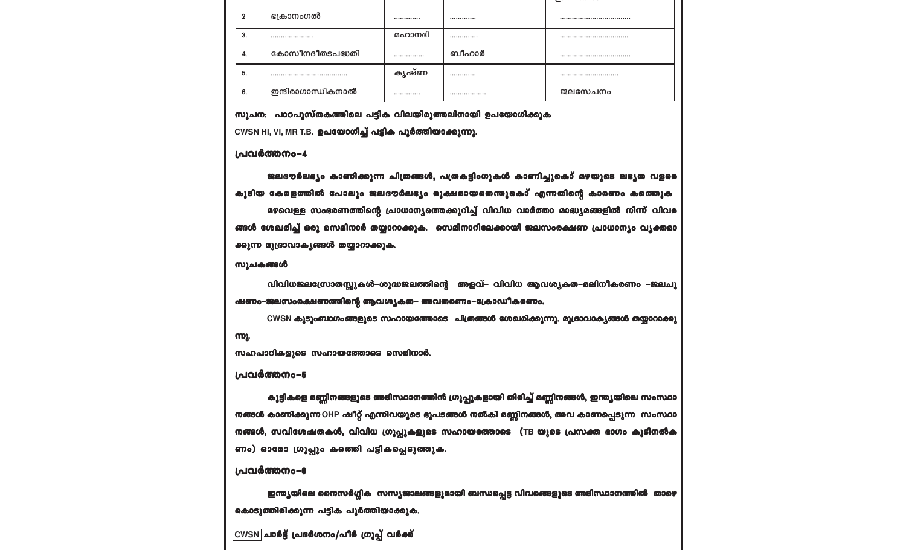$\boxed{\text{CWSN}}$ ചാർട്ട് പ്രദർശനം/പീർ ഗ്രൂപ്പ് വർക്ക്

ഇന്ത്യയിലെ നൈസർഗ്ഗിക സസ്യജാലങ്ങളുമായി ബന്ധപ്പെട്ട വിവരങ്ങളുടെ അടിസ്ഥാനത്തിൽ താഴെ കൊടുത്തിരിക്കുന്ന പട്ടിക പൂർത്തിയാക്കുക.

#### പ്രവർത്തനം-6

ണം) ഓരോ ഗ്രൂപ്പും കത്തിെ പട്ടികപ്പെടുത്തുക.

കൂട്ടികളെ മണ്ണിനങ്ങളുടെ അടിസ്ഥാനത്തിൻ ഗ്രൂപ്പുകളായി തിരിച്ച് മണ്ണിനങ്ങൾ, ഇന്ത്യയിലെ സംസ്ഥാ നങ്ങൾ കാണിക്കുന്ന OHP ഷീറ്റ് എന്നിവയുടെ ഭൂപടങ്ങൾ നൽകി മണ്ണിനങ്ങൾ, അവ കാണപ്പെടുന്ന സംസ്ഥാ നങ്ങൾ, സവിശേഷതകൾ, വിവിധ ഗ്രൂപ്പുകളുടെ സഹായത്തോടെ (TB യുടെ പ്രസക്ത ഭാഗം കൂടിനൽക

#### പ്രവർത്തനം-5

സഹപാഠികളുടെ സഹായത്തോടെ സെമിനാർ.

#### ന്നു.

ഷണം-ജലസംരക്ഷണത്തിന്റെ ആവശ്യകത- അവതരണം-ക്രോഡീകരണം. CWSN കൂടുംബാഗംങ്ങളുടെ സഹായത്തോടെ ചിത്രങ്ങൾ ശേഖരിക്കുന്നു. മുദ്രാവാകൃങ്ങൾ തയ്യാറാക്കു

വിവിധജലസ്രോതസ്സുകൾ-ശുദ്ധജലത്തിന്റെ അളവ്– വിവിധ ആവശ്യകത-മലിനീകരണം –ജലചൂ

#### സൂചകങ്ങൾ

#### ക്കുന്ന മുദ്രാവാകൃങ്ങൾ തയ്യാറാക്കുക.

മഴവെള്ള സംഭരണത്തിന്റെ പ്രാധാന്യത്തെക്കുറിച്ച് വിവിധ വാർത്താ മാദ്ധ്യമങ്ങളിൽ നിന്ന് വിവര ങ്ങൾ ശേഖരിച്ച് ഒരു സെമിനാർ തയ്യാറാക്കുക. സെമിനാറിലേക്കായി ജലസംരക്ഷണ പ്രാധാന്യം വ്യക്തമാ

#### കൂടിയ കേരളത്തിൽ പോലും ജലദൗർലഭ്യം രൂക്ഷമായതെന്തുകൊ് എന്നതിന്റെ കാരണം കത്തെുക

ജലദൗർലഭ്യം കാണിക്കുന്ന ചിത്രങ്ങൾ, പത്രകട്ടിംഗുകൾ കാണിച്ചുകൊ് മഴയുടെ ലഭ്യത വളരെ

#### പ്രവർത്തനം-4

CWSN HI, VI, MR T.B. ഉപയോഗിച്ച് പട്ടിക പൂർത്തിയാക്കുന്നു.

#### സൂചന: പാഠപൂസ്തകത്തിലെ പട്ടിക വിലയിരുത്തലിനായി ഉപയോഗിക്കുക

|    | ഭക്രാനംഗൽ         |        |       |         |
|----|-------------------|--------|-------|---------|
| 3. |                   | മഹാനദി |       |         |
| 4. | കോസീനദീതടപദ്ധതി   |        | ബീഹാർ |         |
| 5. |                   | കൃഷ്ണ  |       |         |
| 6. | ഇന്ദിരാഗാന്ധികനാൽ |        |       | ജലസേചനം |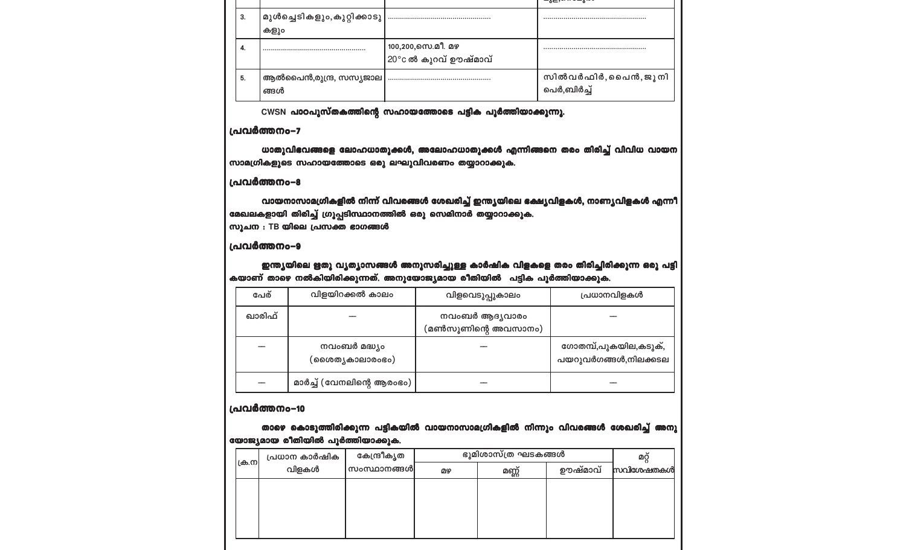|    |                                     |                                           | <del>୴ೱៜ៶ೲ៶៲ ៰៳</del> ៵៶៰៰       |
|----|-------------------------------------|-------------------------------------------|----------------------------------|
| 3. | മുൾച്ചെടികളും,കൂറ്റിക്കാടു <br>കളും |                                           |                                  |
| 4. |                                     | 100,200,സെ.മീ. മഴ<br>20°c ൽ കുറവ് ഊഷ്മാവ് |                                  |
| 5. | ആൽപൈൻ,രുന്ദ്ര, സസ്യജാല<br>ങ്ങൾ      |                                           | സിൽവർഫിർ,പൈൻ,ജൂനി<br>പെർ,ബിർച്ച് |

CWSN പാഠപുസ്തകത്തിന്റെ സഹായത്തോടെ പട്ടിക പൂർത്തിയാക്കുന്നു.

#### പ്രവർത്തനം-7

ധാതുവിഭവങ്ങളെ ലോഹധാതുക്കൾ, അലോഹധാതുക്കൾ എന്നിങ്ങനെ തരം തിരിച്ച് വിവിധ വായന സാമഗ്രികളുടെ സഹായത്തോടെ ഒരു ലഘൂവിവരണം തയ്യാറാക്കുക.

#### പ്രവർത്തനം-8

വായനാസാമഗ്രികളിൽ നിന്ന് വിവരങ്ങൾ ശേഖരിച്ച് ഇന്ത്യയിലെ ഭക്ഷ്യവിളകൾ, നാണ്യവിളകൾ എന്നീ മേഖലകളായി തിരിച്ച് ഗ്രൂപ്പടിസ്ഥാനത്തിൽ ഒരു സെമിനാർ തയ്യാറാക്കുക. സൂചന : TB യിലെ പ്രസക്ത ഭാഗങ്ങൾ

#### പ്രവർത്തനം-9

ഇന്ത്യയിലെ ഋതു വൃത്യാസങ്ങൾ അനുസരിച്ചുള്ള കാർഷിക വിളകളെ തരം തിരിച്ചിരിക്കുന്ന ഒരു പട്ടി കയാണ് താഴെ നൽകിയിരിക്കുന്നത്. അനുയോജ്യമായ രീതിയിൽ പട്ടിക പൂർത്തിയാക്കുക.

| പേര്   | വിളയിറക്കൽ കാലം                  | വിളവെടുപ്പുകാലം                      | പ്രധാനവിളകൾ                                   |
|--------|----------------------------------|--------------------------------------|-----------------------------------------------|
| ഖാരിഫ് |                                  | നവംബർ ആദൃവാരം<br>(മൺസൂണിന്റെ അവസാനം) |                                               |
|        | നവംബർ മദ്ധ്യം<br>(ശൈത്യകാലാരംഭം) |                                      | ഗോതമ്പ്,പുകയില,കടുക്,<br>പയറുവർഗങ്ങൾ,നിലക്കടല |
|        | മാർച്ച് (വേനലിന്റെ ആരംഭം)        |                                      |                                               |

#### പ്രവർത്തനം-10

താഴെ കൊടുത്തിരിക്കുന്ന പട്ടികയിൽ വായനാസാമഗ്രികളിൽ നിന്നും വിവരങ്ങൾ ശേഖരിച്ച് അനു യോജ്യമായ രീതിയിൽ പൂർത്തിയാക്കുക.

| ക്ര.ന | പ്രധാന കാർഷിക | കേന്ദ്രീകൃത |    | ഭൂമിശാസ്ത്ര ഘടകങ്ങൾ |         | ωğ        |
|-------|---------------|-------------|----|---------------------|---------|-----------|
|       | വിളകൾ         | സംസ്ഥാനങ്ങൾ | മഴ | മണ്ണ്               | ഊഷ്മാവ് | സവിശേഷതകൾ |
|       |               |             |    |                     |         |           |
|       |               |             |    |                     |         |           |
|       |               |             |    |                     |         |           |
|       |               |             |    |                     |         |           |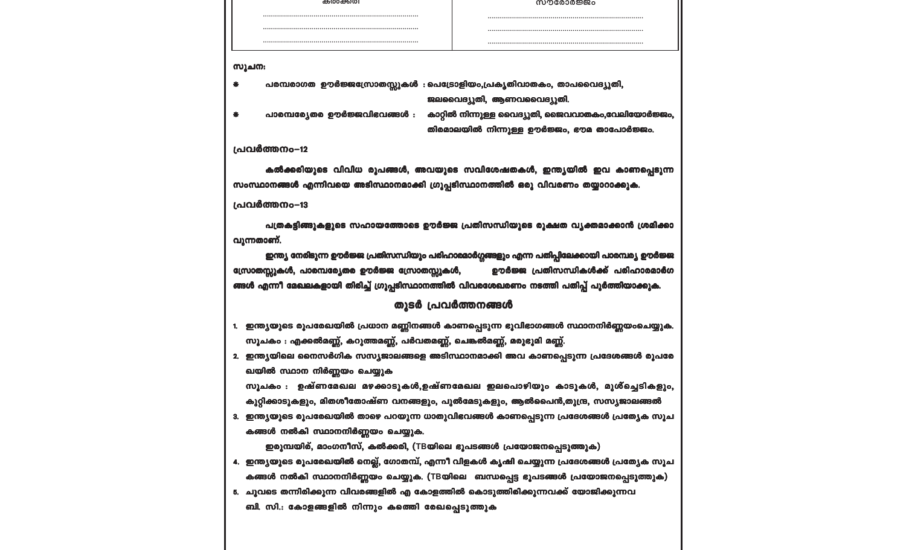ബി. സി.: കോളങ്ങളിൽ നിന്നും കത്തിെ രേഖപ്പെടുത്തുക

- കങ്ങൾ നൽകി സ്ഥാനനിർണ്ണയം ചെയ്യുക. (TBയിലെ ബന്ധപ്പെട്ട ഭൂപടങ്ങൾ പ്രയോജനപ്പെടുത്തുക) 5. ചുവടെ തന്നിരിക്കുന്ന വിവരങ്ങളിൽ എ കോളത്തിൽ കൊടുത്തിരിക്കുന്നവക്ക് യോജിക്കുന്നവ
- ഇരുമ്പയിര്, മാംഗനീസ്, കൽക്കരി, (TBയിലെ ഭൂപടങ്ങൾ പ്രയോജനപ്പെടുത്തുക) 4. ഇന്ത്യയുടെ രൂപരേഖയിൽ നെല്ല്, ഗോതമ്പ്, എന്നീ വിളകൾ കൃഷി ചെയ്യുന്ന പ്രദേശങ്ങൾ പ്രത്യേക സൂച

കങ്ങൾ നൽകി സ്ഥാനനിർണ്ണയം ചെയ്യുക.

- ഖയിൽ സ്ഥാന നിർണ്ണയം ചെയ്യുക സൂചകം : ഉഷ്ണമേഖല മഴക്കാടുകൾ,ഉഷ്ണമേഖല ഇലപൊഴിയും കാടുകൾ, മുശ്ച്ചെടികളും, കുറ്റിക്കാടുകളും, മിതശീതോഷ്ണ വനങ്ങളും, പുൽമേടുകളും, ആൽപൈൻ,തുന്ദ്ര, സസ്യജാലങ്ങൽ 3. ഇന്ത്യയുടെ രൂപരേഖയിൽ താഴെ പറയുന്ന ധാതുവിഭവങ്ങൾ കാണപ്പെടുന്ന പ്രദേശങ്ങൾ പ്രത്യേക സൂച
- സൂചകം : എക്കൽമണ്ണ്, കറുത്തമണ്ണ്, പർവതമണ്ണ്, ചെങ്കൽമണ്ണ്, മരുഭൂമി മണ്ണ്. 2. ഇന്ത്യയിലെ നൈസർഗിക സസ്യജാലങ്ങളെ അടിസ്ഥാനമാക്കി അവ കാണപ്പെടുന്ന പ്രദേശങ്ങൾ രൂപരേ
- 1. ഇന്ത്യയുടെ രൂപരേഖയിൽ പ്രധാന മണ്ണിനങ്ങൾ കാണപ്പെടുന്ന ഭൂവിഭാഗങ്ങൾ സ്ഥാനനിർണ്ണയംചെയ്യുക.

#### തുടർ പ്രവർത്തനങ്ങൾ

ഇന്ത്യ നേരിടുന്ന ഊർജ്ജ പ്രതിസന്ധിയും പരിഹാരമാർഗ്ഗങ്ങളും എന്ന പതിപ്പിലേക്കായി പാരമ്പര്യ ഊർജ്ജ സ്രോതസ്സുകൾ, പാരമ്പര്യേതര ഊർജ്ജ സ്രോതസ്സുകൾ, ഊർജ്ജ പ്രതിസന്ധികൾക്ക് പരിഹാരമാർഗ ങ്ങൾ എന്നീ മേഖലകളായി തിരിച്ച് ഗ്രൂപ്പടിസ്ഥാനത്തിൽ വിവരശേഖരണം നടത്തി പതിപ്പ് പൂർത്തിയാക്കുക.

പത്രകട്ടിങ്ങുകളുടെ സഹായത്തോടെ ഊർജ്ജ പ്രതിസന്ധിയുടെ രൂക്ഷത വൃക്തമാക്കാൻ ശ്രമിക്കാ വുന്നതാണ്.

#### പ്രവർത്തനം-13

കൽക്കരിയുടെ വിവിധ രൂപങ്ങൾ, അവയുടെ സവിശേഷതകൾ, ഇന്ത്യയിൽ ഇവ കാണപ്പെടുന്ന സംസ്ഥാനങ്ങൾ എന്നിവയെ അടിസ്ഥാനമാക്കി ഗ്രൂപ്പടിസ്ഥാനത്തിൽ ഒരു വിവരണം തയ്യാറാക്കുക.

#### പ്രവർത്തനം-12

സൂചന:

പരമ്പരാഗത ഊർജ്ജസ്രോതസ്സുകൾ : പെട്രോളിയം,പ്രകൃതിവാതകം, താപവൈദ്യുതി,  $\bullet$ ജലവൈദ്യൂതി, ആണവവൈദ്യൂതി. പാരമ്പര്യേതര ഊർജ്ജവിഭവങ്ങൾ : കാറ്റിൽ നിന്നുള്ള വൈദ്യുതി, ജൈവവാതകം,വേലിയോർജ്ജം,  $\ast$ തിരമാലയിൽ നിന്നുള്ള ഊർജ്ജം, ഭൗമ താപോർജ്ജം.

| കരക്കേത്ര | സൗരോർജ്ജം |
|-----------|-----------|
|           |           |
|           |           |
|           |           |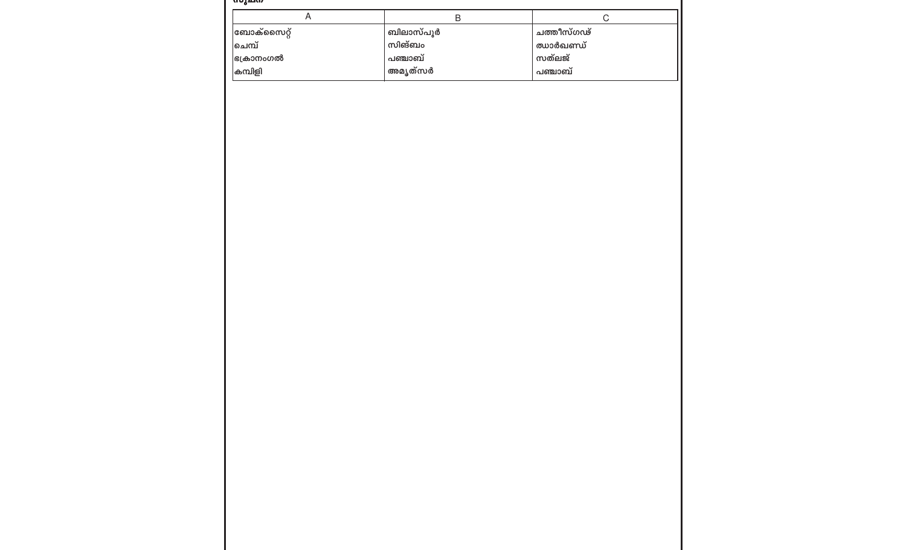| மரீவம<br>$\boldsymbol{\mathsf{A}}$ | $\sf B$   | $\mathsf C$ |  |
|------------------------------------|-----------|-------------|--|
| <mark>ബോക്സൈറ്റ്</mark>            | ബിലാസ്പൂർ | ചത്തീസ്ഗഢ്  |  |
| ∣ചെമ്പ്                            | സിങ്ബം    | ഝാർഖണ്ഡ്    |  |
| ഭക്രാനംഗൽ                          | പഞ്ചാബ്   | സത്ലജ്      |  |
| കമ്പിളി                            | അമൃത്സർ   | പഞ്ചാബ്     |  |
|                                    |           |             |  |
|                                    |           |             |  |
|                                    |           |             |  |
|                                    |           |             |  |
|                                    |           |             |  |
|                                    |           |             |  |
|                                    |           |             |  |
|                                    |           |             |  |
|                                    |           |             |  |
|                                    |           |             |  |
|                                    |           |             |  |
|                                    |           |             |  |
|                                    |           |             |  |
|                                    |           |             |  |
|                                    |           |             |  |
|                                    |           |             |  |
|                                    |           |             |  |
|                                    |           |             |  |
|                                    |           |             |  |
|                                    |           |             |  |
|                                    |           |             |  |
|                                    |           |             |  |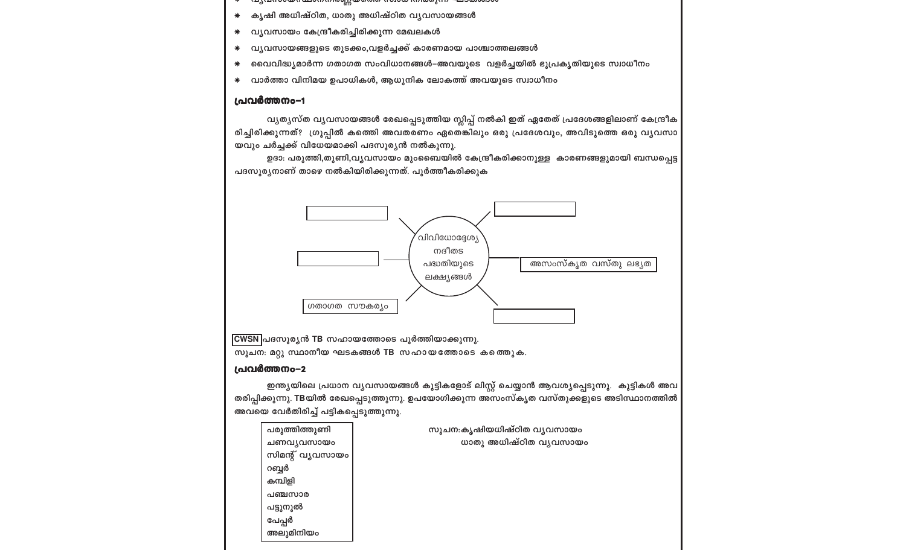| പരുത്തിത്തുണി    | സൂചന:കൃഷിയധിഷ്ഠിത വ്യവസായം |
|------------------|----------------------------|
| ചണവൃവസായം        | ധാതു അധിഷ്ഠിത വൃവസായം      |
| സിമന്റ് വ്യവസായം |                            |
| റബ്ബർ            |                            |
| കമ്പിളി          |                            |
| പഞ്ചസാര          |                            |
| പട്ടുനൂൽ         |                            |
| പേപ്പർ           |                            |
| അലുമിനിയം        |                            |
|                  |                            |

ഇന്ത്യയിലെ പ്രധാന വ്യവസായങ്ങൾ കുട്ടികളോട് ലിസ്റ്റ് ചെയ്യാൻ ആവശ്യപ്പെടുന്നു. കുട്ടികൾ അവ തരിപ്പിക്കുന്നു. TBയിൽ രേഖപ്പെടുത്തുന്നു. ഉപയോഗിക്കുന്ന അസംസ്കൃത വസ്തുക്കളുടെ അടിസ്ഥാനത്തിൽ അവയെ വേർതിരിച്ച് പട്ടികപ്പെടുത്തുന്നു.

#### പ്രവർത്തനം-2

സൂചന: മറ്റു സ്ഥാനീയ ഘടകങ്ങൾ TB സഹായത്തോടെ കത്തെുക.

CWSN പദസൂര്യൻ TB സഹായത്തോടെ പൂർത്തിയാക്കുന്നു.



പദസൂര്യനാണ് താഴെ നൽകിയിരിക്കുന്നത്. പൂർത്തീകരിക്കുക

യവും ചർച്ചക്ക് വിധേയമാക്കി പദസൂര്യൻ നൽകുന്നു. ഉദാ: പരുത്തി,തുണി,വൃവസായം മുംബൈയിൽ കേന്ദ്രീകരിക്കാനുള്ള കാരണങ്ങളുമായി ബന്ധപ്പെട്ട

വ്യത്യസ്ത വ്യവസായങ്ങൾ രേഖപ്പെടുത്തിയ സ്ലിപ്പ് നൽകി ഇത് ഏതേത് പ്രദേശങ്ങളിലാണ് കേന്ദ്രീക രിച്ചിരിക്കുന്നത്? ഗ്രൂപ്പിൽ കത്തെി അവതരണം ഏതെങ്കിലും ഒരു പ്രദേശവും, അവിടുത്തെ ഒരു വൃവസാ

#### പ്രവർത്തനം-1

- വാർത്താ വിനിമയ ഉപാധികൾ, ആധുനിക ലോകത്ത് അവയുടെ സ്വാധീനം  $\ast$
- വൈവിദ്ധ്യമാർന്ന ഗതാഗത സംവിധാനങ്ങൾ–അവയുടെ വളർച്ചയിൽ ഭൂപ്രകൃതിയുടെ സ്വാധീനം  $\ast$
- വ്യവസായങ്ങളുടെ തുടക്കം,വളർച്ചക്ക് കാരണമായ പാശ്ചാത്തലങ്ങൾ  $\ast$
- വ്യവസായം കേന്ദ്രീകരിച്ചിരിക്കുന്ന മേഖലകൾ  $\ast$
- കൃഷി അധിഷ്ഠിത, ധാതു അധിഷ്ഠിത വൃവസായങ്ങൾ  $\ast$
- <u>(ny engagem- i international method international methods in the subsequence</u>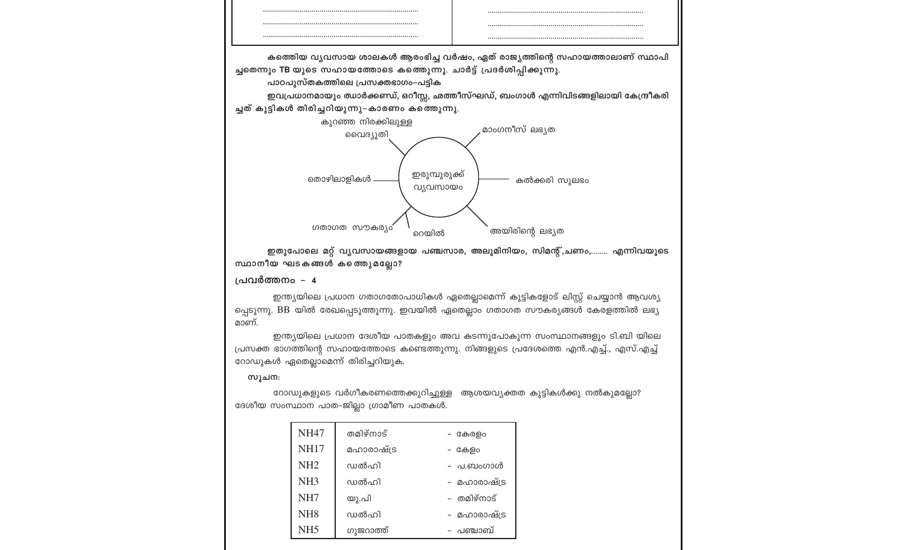

ഇതുപോലെ മറ്റ് വൃവസായങ്ങളായ പഞ്ചസാര, അലുമിനിയം, സിമന്റ്,ചണം,........ എന്നിവയുടെ സ്ഥാനീയ ഘടകങ്ങൾ കത്തെുമല്ലോ?

#### പ്രവർത്തനം – 4

ഇന്ത്യയിലെ പ്രധാന ഗതാഗതോപാധികൾ ഏതെല്ലാമെന്ന് കുട്ടികളോട് ലിസ്റ്റ് ചെയ്യാൻ ആവശ്യ പ്പെടുന്നു. BB യിൽ രേഖപ്പെടുത്തുന്നു. ഇവയിൽ ഏതെല്ലാം ഗതാഗത സൗകര്യങ്ങൾ കേരളത്തിൽ ലഭ്യ മാണ്.

ഇന്ത്യയിലെ പ്രധാന ദേശീയ പാതകളും അവ കടന്നുപോകുന്ന സംസ്ഥാനങ്ങളും ടി.ബി യിലെ പ്രസക്ത ഭാഗത്തിന്റെ സഹായത്തോടെ കണ്ടെത്തുന്നു. നിങ്ങളുടെ പ്രദേശത്തെ എൻ.എച്ച്., എസ്.എച്ച് റോഡുകൾ ഏതെല്ലാമെന്ന് തിരിച്ചറിയുക.

#### സൂചന:

റോഡുകളുടെ വർഗീകരണത്തെക്കുറിച്ചുള്ള ആശയവ്യക്തത കുട്ടികൾക്കു നൽകുമല്ലോ? ദേശീയ സംസ്ഥാന പാത-ജില്ലാ ഗ്രാമീണ പാതകൾ.

| <b>NH47</b>     | തമിഴ്നാട്  | കേരളം        |
|-----------------|------------|--------------|
| <b>NH17</b>     | മഹാരാഷ്ട്ര | കേളം         |
| NH <sub>2</sub> | വാൽഹി      | – പ.ബംഗാൾ    |
| NH <sub>3</sub> | വാൽഹി      | - മഹാരാഷ്ട്ര |
| NH7             | യു.പി      | – തമിഴ്നാട്  |
| NH <sub>8</sub> | വാൽഹി      | മഹാരാഷ്ട്ര   |
| NH5             | ഗുജറാത്ത്  | - പഞ്ചാബ്    |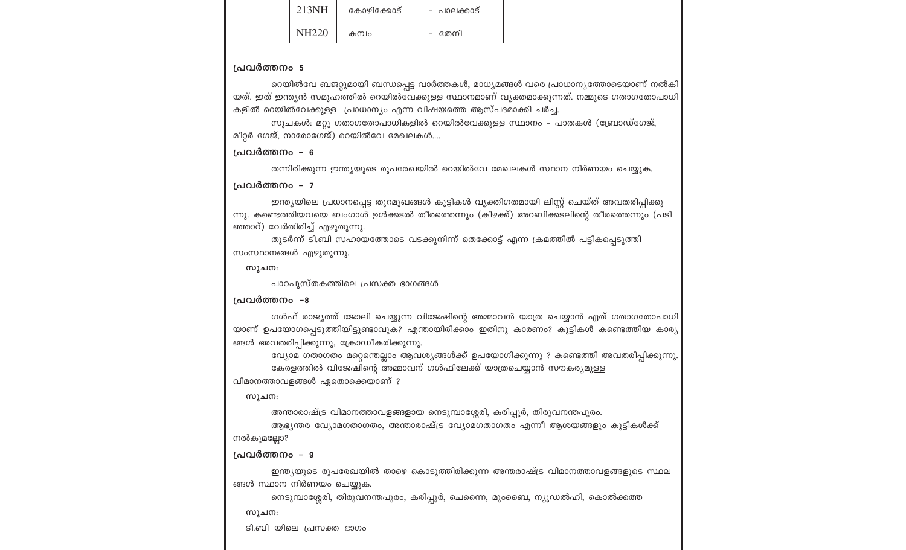|        | കോഴിക്കോട് | - പാലക്കാട് |
|--------|------------|-------------|
| NIU220 | കമ്പം      | തേനി        |

#### പ്രവർത്തനം 5

റെയിൽവേ ബജറ്റുമായി ബന്ധപ്പെട്ട വാർത്തകൾ, മാധ്യമങ്ങൾ വരെ പ്രാധാന്യത്തോടെയാണ് നൽകി യത്. ഇത് ഇന്ത്യൻ സമുഹത്തിൽ റെയിൽവേക്കുള്ള സ്ഥാനമാണ് വ്യക്തമാക്കുന്നത്. നമ്മുടെ ഗതാഗതോപാധി കളിൽ റെയിൽവേക്കുള്ള പ്രാധാന്യം എന്ന വിഷയത്തെ ആസ്പദമാക്കി ചർച്ച.

സൂചകൾ: മറ്റു ഗതാഗതോപാധികളിൽ റെയിൽവേക്കുള്ള സ്ഥാനം – പാതകൾ (ബ്രോഡ്ഗേജ്, മീറ്റർ ഗേജ്, നാരോഗേജ്) റെയിൽവേ മേഖലകൾ....

#### പ്രവർത്തനം – 6

തന്നിരിക്കുന്ന ഇന്ത്യയുടെ രൂപരേഖയിൽ റെയിൽവേ മേഖലകൾ സ്ഥാന നിർണയം ചെയ്യുക.

#### പ്രവർത്തനം – 7

ഇന്ത്യയിലെ പ്രധാനപ്പെട്ട തുറമുഖങ്ങൾ കുട്ടികൾ വ്യക്തിഗതമായി ലിസ്റ്റ് ചെയ്ത് അവതരിപ്പിക്കു ന്നു. കണ്ടെത്തിയവയെ ബംഗാൾ ഉൾക്കടൽ തീരത്തെന്നും (കിഴക്ക്) അറബിക്കടലിന്റെ തീരത്തെന്നും (പടി ഞ്ഞാറ്) വേർതിരിച്ച് എഴുതുന്നു.

തുടർന്ന് ടി.ബി സഹായത്തോടെ വടക്കുനിന്ന് തെക്കോട്ട് എന്ന ക്രമത്തിൽ പട്ടികപ്പെടുത്തി സംസ്ഥാനങ്ങൾ എഴുതുന്നു.

സൂചന:

പാഠപുസ്തകത്തിലെ പ്രസക്ത ഭാഗങ്ങൾ

#### പ്രവർത്തനം –8

ഗൾഫ് രാജ്യത്ത് ജോലി ചെയ്യുന്ന വിജേഷിന്റെ അമ്മാവൻ യാത്ര ചെയ്യാൻ ഏത് ഗതാഗതോപാധി യാണ് ഉപയോഗപ്പെടുത്തിയിട്ടുണ്ടാവുക? എന്തായിരിക്കാം ഇതിനു കാരണം? കുട്ടികൾ കണ്ടെത്തിയ കാര്യ ങ്ങൾ അവതരിപ്പിക്കുന്നു, ക്രോഡീകരിക്കുന്നു.

വ്യോമ ഗതാഗതം മറ്റെന്തെല്ലാം ആവശ്യങ്ങൾക്ക് ഉപയോഗിക്കുന്നു ? കണ്ടെത്തി അവതരിപ്പിക്കുന്നു കേരളത്തിൽ വിജേഷിന്റെ അമ്മാവന് ഗൾഫിലേക്ക് യാത്രചെയ്യാൻ സൗകര്യമുള്ള

വിമാനത്താവളങ്ങൾ ഏതൊക്കെയാണ് ?

#### സൂചന:

അന്താരാഷ്ട്ര വിമാനത്താവളങ്ങളായ നെടുമ്പാശ്ശേരി, കരിപ്പൂർ, തിരുവനന്തപുരം.

ആഭ്യന്തര വ്യോമഗതാഗതം, അന്താരാഷ്ട്ര വ്യോമഗതാഗതം എന്നീ ആശയങ്ങളും കുട്ടികൾക്ക് നൽകുമല്ലോ?

#### പ്രവർത്തനം – 9

ഇന്ത്യയുടെ രൂപരേഖയിൽ താഴെ കൊടുത്തിരിക്കുന്ന അന്തരാഷ്ട്ര വിമാനത്താവളങ്ങളുടെ സ്ഥല ങ്ങൾ സ്ഥാന നിർണയം ചെയ്യുക.

നെടുമ്പാശ്ശേരി, തിരുവനന്തപുരം, കരിപ്പൂർ, ചെന്നൈ, മുംബൈ, ന്യൂഡൽഹി, കൊൽക്കത്ത

#### സൂചന:

ടി.ബി യിലെ പ്രസക്ത ഭാഗം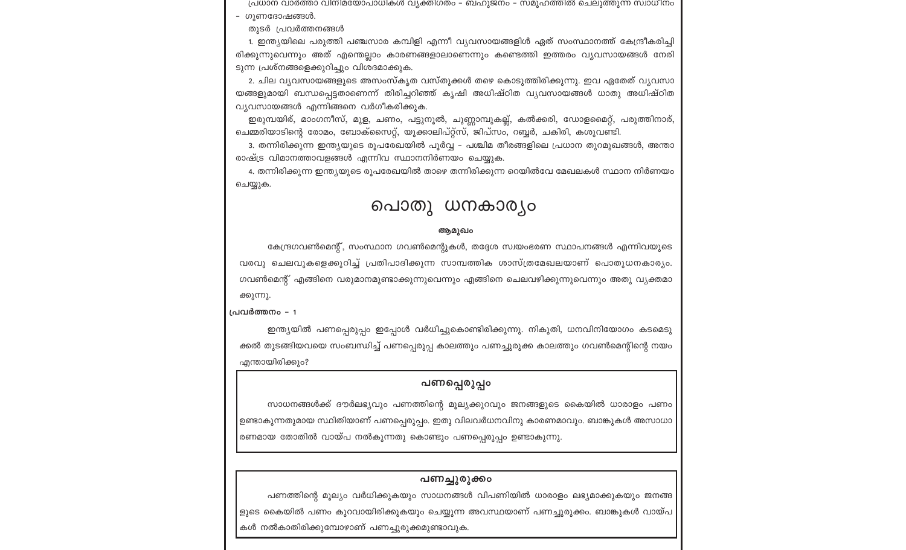പ്രധാന വാർത്താ വിനിമയോപാധികൾ വ്യക്തിഗതം – ബഹുജനം – സമൂഹത്തിൽ ചെലുത്തുന്ന സ്വാധീനം

- ഗുണദോഷങ്ങൾ.
- തുടർ പ്രവർത്തനങ്ങൾ

1. ഇന്ത്യയിലെ പരുത്തി പഞ്ചസാര കമ്പിളി എന്നീ വ്യവസായങ്ങളിൾ ഏത് സംസ്ഥാനത്ത് കേന്ദ്രീകരിച്ചി രിക്കുന്നുവെന്നും അത് എന്തെല്ലാം കാരണങ്ങളാലാണെന്നും കണ്ടെത്തി ഇത്തരം വ്യവസായങ്ങൾ നേരി ടുന്ന പ്രശ്നങ്ങളെക്കുറിച്ചും വിശദമാക്കുക.

2. ചില വ്യവസായങ്ങളുടെ അസംസ്കൃത വസ്തുക്കൾ തഴെ കൊടുത്തിരിക്കുന്നു. ഇവ ഏതേത് വ്യവസാ യങ്ങളുമായി ബന്ധപ്പെട്ടതാണെന്ന് തിരിച്ചറിഞ്ഞ് കൃഷി അധിഷ്ഠിത വ്യവസായങ്ങൾ ധാതു അധിഷ്ഠിത വ്യവസായങ്ങൾ എന്നിങ്ങനെ വർഗീകരിക്കുക.

ഇരുമ്പയിര്, മാംഗനീസ്, മുള, ചണം, പട്ടുനൂൽ, ചുണ്ണാമ്പുകല്ല്, കൽക്കരി, ഡോളമൈറ്റ്, പരുത്തിനാര്, ചെമ്മരിയാടിന്റെ രോമം, ബോക്സൈറ്റ്, യൂക്കാലിപ്റ്റ്സ്, ജിപ്സം, റബ്ബർ, ചകിരി, കശുവണ്ടി.

3. തന്നിരിക്കുന്ന ഇന്ത്യയുടെ രൂപരേഖയിൽ പൂർവ്വ – പശ്ചിമ തീരങ്ങളിലെ പ്രധാന തുറമുഖങ്ങൾ, അന്താ രാഷ്ട്ര വിമാനത്താവളങ്ങൾ എന്നിവ സ്ഥാനനിർണയം ചെയ്യുക.

4. തന്നിരിക്കുന്ന ഇന്ത്യയുടെ രൂപരേഖയിൽ താഴെ തന്നിരിക്കുന്ന റെയിൽവേ മേഖലകൾ സ്ഥാന നിർണയം ചെയ്യുക.

# പൊതു ധനകാര്യം

#### ആമുഖം

കേന്ദ്രഗവൺമെന്റ്, സംസ്ഥാന ഗവൺമെന്റുകൾ, തദ്ദേശ സ്വയംഭരണ സ്ഥാപനങ്ങൾ എന്നിവയുടെ വരവു ചെലവുകളെക്കുറിച്ച് പ്രതിപാദിക്കുന്ന സാമ്പത്തിക ശാസ്ത്രമേഖലയാണ് പൊതുധനകാര്യം. ഗവൺമെന്റ് എങ്ങിനെ വരുമാനമുണ്ടാക്കുന്നുവെന്നും എങ്ങിനെ ചെലവഴിക്കുന്നുവെന്നും അതു വൃക്തമാ

ക്കുന്നു. പ്രവർത്തനം – 1

ഇന്ത്യയിൽ പണപ്പെരുപ്പം ഇപ്പോൾ വർധിച്ചുകൊണ്ടിരിക്കുന്നു. നികുതി, ധനവിനിയോഗം കടമെടു ക്കൽ തുടങ്ങിയവയെ സംബന്ധിച്ച് പണപ്പെരുപ്പ കാലത്തും പണച്ചുരുക്ക കാലത്തും ഗവൺമെന്റിന്റെ നയം എന്തായിരിക്കും?

### പണപ്പെരുപ്പം

സാധനങ്ങൾക്ക് ദൗർലഭ്യവും പണത്തിന്റെ മൂല്യക്കുറവും ജനങ്ങളുടെ കൈയിൽ ധാരാളം പണം ഉണ്ടാകുന്നതുമായ സ്ഥിതിയാണ് പണപ്പെരുപ്പം. ഇതു വിലവർധനവിനു കാരണമാവും. ബാങ്കുകൾ അസാധാ രണമായ തോതിൽ വായ്പ നൽകുന്നതു കൊണ്ടും പണപ്പെരുപ്പം ഉണ്ടാകുന്നു.

### പണച്ചുരുക്കം

പണത്തിന്റെ മൂല്യം വർധിക്കുകയും സാധനങ്ങൾ വിപണിയിൽ ധാരാളം ലഭ്യമാക്കുകയും ജനങ്ങ ളുടെ കൈയിൽ പണം കുറവായിരിക്കുകയും ചെയ്യുന്ന അവസ്ഥയാണ് പണച്ചുരുക്കം. ബാങ്കുകൾ വായ്പ കൾ നൽകാതിരിക്കുമ്പോഴാണ് പണച്ചുരുക്കമുണ്ടാവുക.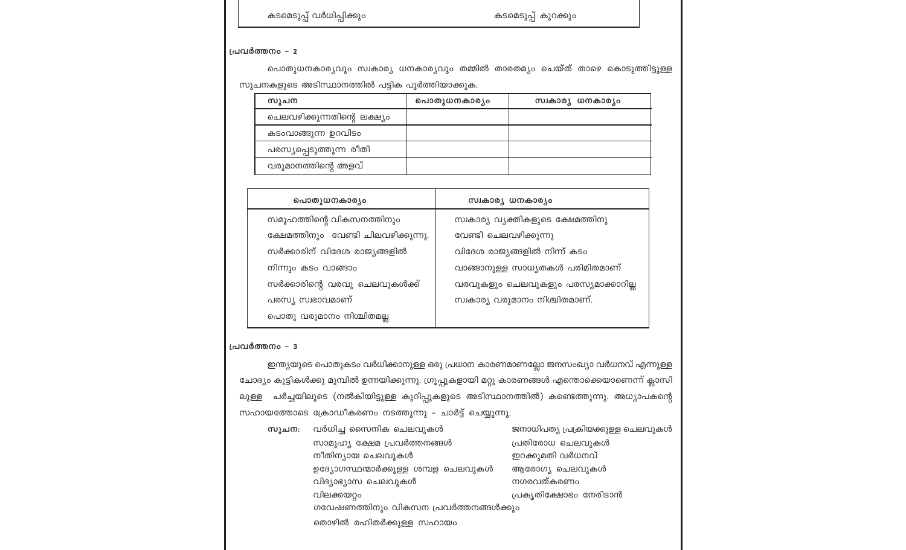|       | . ഇന്ത്യയുടെ പൊതുകടം വർധിക്കാനുള്ള ഒരു പ്രധാന കാരണമാണല്ലോ ജനസംഖ്യാ വർധനവ് എന്നുള്ള             |                                   |
|-------|------------------------------------------------------------------------------------------------|-----------------------------------|
|       | ്യം കുട്ടികൾക്കു മുമ്പിൽ ഉന്നയിക്കുന്നു. ഗ്രൂപ്പുകളായി മറ്റു കാരണങ്ങൾ എന്തൊക്കെയാണെന്ന് ക്ലാസി |                                   |
|       | ചർച്ചയിലൂടെ (നൽകിയിട്ടുള്ള കുറിപ്പുകളുടെ അടിസ്ഥാനത്തിൽ) കണ്ടെത്തുന്നു. അധ്യാപകന്റെ             |                                   |
|       | യത്തോടെ ക്രോഡീകരണം നടത്തുന്നു – ചാർട്ട് ചെയ്യുന്നു.                                            |                                   |
| സൂചന: | വർധിച്ച സൈനിക ചെലവുകൾ                                                                          | ജനാധിപത്യ പ്രക്രിയക്കുള്ള ചെലവുകൾ |
|       | സാമൂഹ്യ ക്ഷേമ പ്രവർത്തനങ്ങൾ                                                                    | പ്രതിരോധ ചെലവുകൾ                  |
|       | നീതിന്യായ ചെലവുകൾ                                                                              | ഇറക്കുമതി വർധനവ്                  |
|       | ഉദ്യോഗസ്ഥന്മാർക്കുള്ള ശമ്പള ചെലവുകൾ                                                            | ആരോഗ്യ ചെലവുകൾ                    |
|       | വിദ്യാഭ്യാസ ചെലവുകൾ                                                                            | നഗരവത്കരണം                        |
|       | വിലക്കയറ്റം                                                                                    | പ്രകൃതിക്ഷോഭം നേരിടാൻ             |
|       | ഗവേഷണത്തിനും വികസന പ്രവർത്തനങ്ങൾക്കും                                                          |                                   |
|       | തൊഴിൽ രഹിതർക്കുള്ള സഹായം                                                                       |                                   |
|       |                                                                                                |                                   |

## | പ്രവർത്തനം – 3

| --------------                                                                                    |
|---------------------------------------------------------------------------------------------------|
| . ഇന്ത്യയുടെ പൊതുകടം വർധിക്കാനുള്ള ഒരു പ്രധാന കാരണമാണല്ലോ ജനസംഖ്യാ വർധനവ് എന്നുള്ള                |
| ചോദ്യം കുട്ടികൾക്കു മുമ്പിൽ ഉന്നയിക്കുന്നു. ഗ്രൂപ്പുകളായി മറ്റു കാരണങ്ങൾ എന്തൊക്കെയാണെന്ന് ക്ലാസി |
| ചർച്ചയിലൂടെ (നൽകിയിട്ടുള്ള കുറിപ്പുകളുടെ അടിസ്ഥാനത്തിൽ) കണ്ടെത്തുന്നു. അധ്യാപകന്റെ<br>ലുള്ള       |
| സഹായത്തോടെ ക്രോഡീകരണം നടത്തുന്നു – ചാർട്ട് ചെയ്യുന്നു.                                            |

| പൊതുധനകാര്യം                        | സ്വകാര്യ ധനകാര്യം                   |
|-------------------------------------|-------------------------------------|
| സമൂഹത്തിന്റെ വികസനത്തിനും           | സ്വകാര്യ വ്യക്തികളുടെ ക്ഷേമത്തിനു   |
| ക്ഷേമത്തിനും വേണ്ടി ചിലവഴിക്കുന്നു. | വേണ്ടി ചെലവഴിക്കുന്നു               |
| സർക്കാരിന് വിദേശ രാജ്യങ്ങളിൽ        | വിദേശ രാജ്യങ്ങളിൽ നിന്ന് കടം        |
| നിന്നും കടം വാങ്ങാം                 | വാങ്ങാനുള്ള സാധ്യതകൾ പരിമിതമാണ്     |
| സർക്കാരിന്റെ വരവു ചെലവുകൾക്ക്       | വരവുകളും ചെലവുകളും പരസ്യമാക്കാറില്ല |
| പരസ്യ സ്വഭാവമാണ്                    | സ്വകാര്യ വരുമാനം നിശ്ചിതമാണ്.       |
| പൊതു വരുമാനം നിശ്ചിതമല്ല            |                                     |

| ചനകളുടെ അടസ്ഥാനത്തിയ പട്ടിക വുരത്തിയാക്കുക. |              |                   |  |
|---------------------------------------------|--------------|-------------------|--|
| സുചന                                        | പൊതുധനകാര്യം | സ്വകാര്യ ധനകാര്യം |  |
| ചെലവഴിക്കുന്നതിന്റെ ലക്ഷ്യം                 |              |                   |  |
| കടംവാങ്ങുന്ന ഉറവിടം                         |              |                   |  |
| പരസ്യപ്പെടുത്തുന്ന രീതി                     |              |                   |  |
| വരുമാനത്തിന്റെ അളവ്                         |              |                   |  |

.<br>സൂചനകളുടെ അടിസ്ഥാനത്തിൽ പട്ടിക പൂർത്തിയാക്കുക

പൊതുധനകാര്യവും സ്വകാര്യ ധനകാര്യവും തമ്മിൽ താരതമ്യം ചെയ്ത് താഴെ കൊടുത്തിട്ടുള്ള

പ്രവർത്തനം - 2

കടമെടുപ്പ് വർധിപ്പിക്കും

കടമെടുപ്പ് കുറക്കും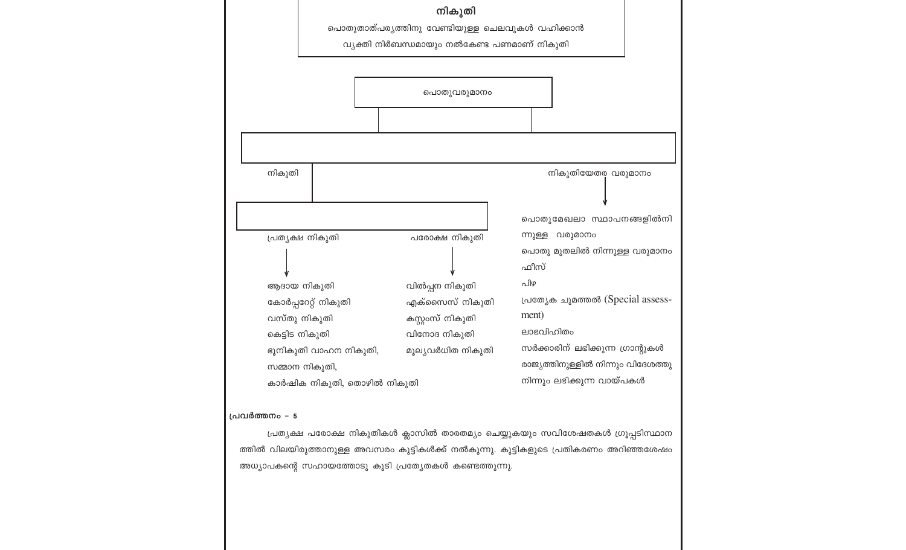|                                          |                                                                                                                                  | നികുതി<br>പൊതുതാത്പര്യത്തിനു വേണ്ടിയുള്ള ചെലവുകൾ വഹിക്കാൻ<br>വ്യക്തി നിർബന്ധമായും നൽകേണ്ട പണമാണ് നികുതി    |                                                                                                                                                                                                                                                                                      |
|------------------------------------------|----------------------------------------------------------------------------------------------------------------------------------|------------------------------------------------------------------------------------------------------------|--------------------------------------------------------------------------------------------------------------------------------------------------------------------------------------------------------------------------------------------------------------------------------------|
|                                          |                                                                                                                                  | പൊതുവരുമാനം                                                                                                |                                                                                                                                                                                                                                                                                      |
| നികുതി<br>വസ്തു നികുതി<br>കെട്ടിട നികുതി | പ്രത്യക്ഷ നികുതി<br>ആദായ നികുതി<br>കോർപ്പറേറ്റ് നികുതി<br>ഭൂനികുതി വാഹന നികുതി,<br>സമ്മാന നികുതി,<br>കാർഷിക നികുതി, തൊഴിൽ നികുതി | പരോക്ഷ നികുതി<br>വിൽപ്പന നികുതി<br>എക്സൈസ് നികുതി<br>കസ്റ്റംസ് നികുതി<br>വിനോദ നികുതി<br>മൂല്യവർധിത നികുതി | നികുതിയേതര വരുമാനം<br>പൊതുമേഖലാ സ്ഥാപനങ്ങളിൽനി<br>ന്നുള്ള വരുമാനം<br>പൊതു മുതലിൽ നിന്നുള്ള വരുമാനം<br>ഫീസ്<br>പിഴ<br>പ്രത്യേക ചുമത്തൽ (Special assess-<br>ment)<br>ലാഭവിഹിതം<br>സർക്കാരിന് ലഭിക്കുന്ന ഗ്രാന്റുകൾ<br>രാജ്യത്തിനുള്ളിൽ നിന്നും വിദേശത്തു<br>നിന്നും ലഭിക്കുന്ന വായ്പകൾ |
| പ്രവർത്തനം - 5                           |                                                                                                                                  | അധ്യാപകന്റെ സഹായത്തോടു കൂടി പ്രത്യേതകൾ കണ്ടെത്തുന്നു.                                                      | പ്രത്യക്ഷ പരോക്ഷ നികുതികൾ ക്ലാസിൽ താരതമ്യം ചെയ്യുകയും സവിശേഷതകൾ ഗ്രൂപ്പടിസ്ഥാന<br>ത്തിൽ വിലയിരുത്താനുള്ള അവസരം കുട്ടികൾക്ക് നൽകുന്നു. കുട്ടികളുടെ പ്രതികരണം അറിഞ്ഞശേഷം                                                                                                               |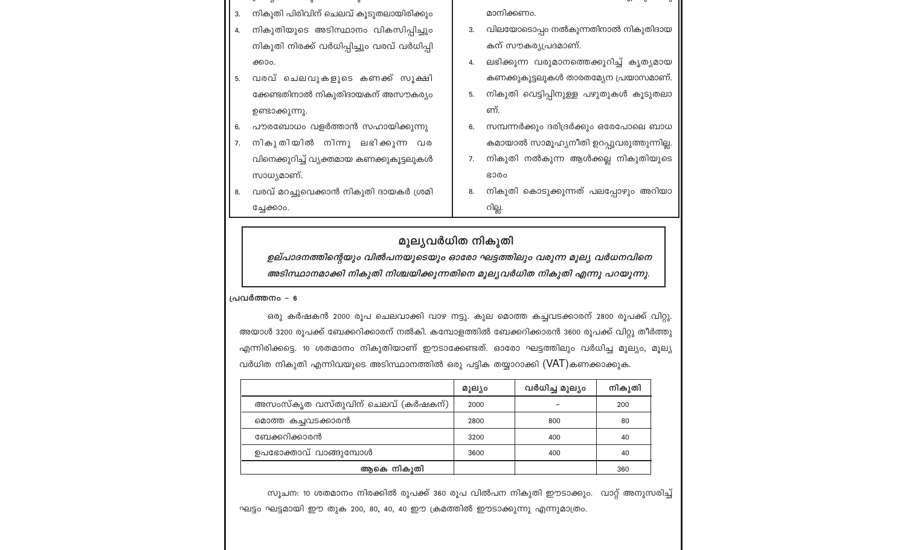- നികുതി പിരിവിന് ചെലവ് കൂടുതലായിരിക്കും മാനിക്കണം.
- 3. വിലയോടൊപ്പം നൽകുന്നതിനാൽ നികുതിദായ നികുതിയുടെ അടിസ്ഥാനം വികസിപ്പിച്ചും നികുതി നിരക്ക് വർധിപ്പിച്ചും വരവ് വർധിപ്പി കന് സൗകര്യപ്രദമാണ്.
	- 4. ലഭിക്കുന്ന വരുമാനത്തെക്കുറിച്ച് കൃത്യമായ കണക്കുകൂട്ടലുകൾ താരതമ്യേന പ്രയാസമാണ്.
	- 5. നികുതി വെട്ടിപ്പിനുള്ള പഴുതുകൾ കൂടുതലാ ണ്.
	- സമ്പന്നർക്കും ദരിദ്രർക്കും ഒരേപോലെ ബാധ കമായാൽ സാമൂഹ്യനീതി ഉറപ്പുവരുത്തുന്നില്ല.
	- 7. നികുതി നൽകുന്ന ആൾക്കല്ല നികുതിയുടെ **GO00**
	- നികുതി കൊടുക്കുന്നത് പലപ്പോഴും അറിയാ റില്ല.

### മുല്യവർധിത നികുതി

ഉല്പാദനത്തിന്റെയും വിൽപനയുടെയും ഓരോ ഘട്ടത്തിലും വരുന്ന മൂല്യ വർധനവിനെ അടിസ്ഥാനമാക്കി നികുതി നിശ്ചയിക്കുന്നതിനെ മൂല്യവർധിത നികുതി എന്നു പറയുന്നു.

#### പ്രവർത്തനം - 6

3.

 $5.$ 

8.

ക്കാം.

ഉണ്ടാക്കുന്നു.

സാധ്യമാണ്.

ച്ചേക്കാം.

വരവ് ചെലവുകളുടെ കണക്ക് സൂക്ഷി

ക്കേണ്ടതിനാൽ നികുതിദായകന് അസൗകര്യം

പൗരബോധം വളർത്താൻ സഹായിക്കുന്നു

നികുതിയിൽ നിന്നു ലഭിക്കുന്ന വര

വിനെക്കുറിച്ച് വ്യക്തമായ കണക്കുകൂട്ടലുകൾ

വരവ് മറച്ചുവെക്കാൻ നികുതി ദായകർ ശ്രമി

ഒരു കർഷകൻ 2000 രൂപ ചെലവാക്കി വാഴ നട്ടു. കുല മൊത്ത കച്ചവടക്കാരന് 2800 രൂപക്ക് വിറ്റു. അയാൾ 3200 രൂപക്ക് ബേക്കറിക്കാരന് നൽകി. കമ്പോളത്തിൽ ബേക്കറിക്കാരൻ 3600 രൂപക്ക് വിറ്റു തീർത്തു എന്നിരിക്കട്ടെ. 10 ശതമാനം നികുതിയാണ് ഈടാക്കേണ്ടത്. ഓരോ ഘട്ടത്തിലും വർധിച്ച മൂല്യം, മൂല്യ വർധിത നികുതി എന്നിവയുടെ അടിസ്ഥാനത്തിൽ ഒരു പട്ടിക തയ്യാറാക്കി (VAT)കണക്കാക്കുക.

|                                   | മൂല്യം | വർധിച്ച മൂല്യം | നികുതി |
|-----------------------------------|--------|----------------|--------|
| അസംസ്കൃത വസ്തുവിന് ചെലവ് (കർഷകന്) | 2000   |                | 200    |
| മൊത്ത കച്ചവടക്കാരൻ                | 2800   | 800            | 80     |
| ബേക്കറിക്കാരൻ                     | 3200   | 400            | 40     |
| ഉപഭോക്താവ് വാങ്ങുമ്പോൾ            | 3600   | 400            | 40     |
| ആകെ നികൂതി                        |        |                | 360    |

സൂചന: 10 ശതമാനം നിരക്കിൽ രൂപക്ക് 360 രൂപ വിൽപന നികുതി ഈടാക്കും. വാറ്റ് അനുസരിച്ച് ഘട്ടം ഘട്ടമായി ഈ തുക 200, 80, 40, 40 ഈ ക്രമത്തിൽ ഈടാക്കുന്നു എന്നുമാത്രം.